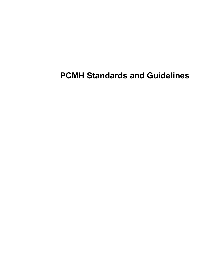## **PCMH Standards and Guidelines**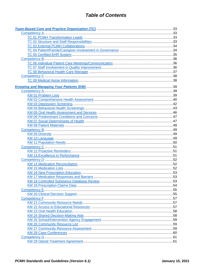<span id="page-1-0"></span>

| 53 |
|----|
|    |
|    |
|    |
|    |
|    |
|    |
|    |
|    |
|    |
|    |
|    |
|    |
|    |
|    |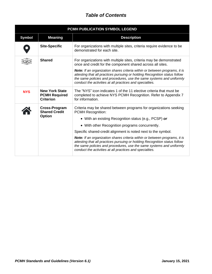<span id="page-4-0"></span>

| PCMH PUBLICATION SYMBOL LEGEND |                                                                   |                                                                                                                                                                                                                                                                                              |
|--------------------------------|-------------------------------------------------------------------|----------------------------------------------------------------------------------------------------------------------------------------------------------------------------------------------------------------------------------------------------------------------------------------------|
| <b>Symbol</b>                  | <b>Meaning</b>                                                    | <b>Description</b>                                                                                                                                                                                                                                                                           |
|                                | <b>Site-Specific</b>                                              | For organizations with multiple sites, criteria require evidence to be<br>demonstrated for each site.                                                                                                                                                                                        |
|                                | <b>Shared</b>                                                     | For organizations with multiple sites, criteria may be demonstrated<br>once and credit for the component shared across all sites.                                                                                                                                                            |
|                                |                                                                   | Note: If an organization shares criteria within or between programs, it is<br>attesting that all practices pursuing or holding Recognition status follow<br>the same policies and procedures, use the same systems and uniformly<br>conduct the activities at all practices and specialties. |
| <b>NYS</b>                     | <b>New York State</b><br><b>PCMH Required</b><br><b>Criterion</b> | The "NYS" icon indicates 1 of the 11 elective criteria that must be<br>completed to achieve NYS PCMH Recognition. Refer to Appendix 7<br>for information.                                                                                                                                    |
|                                | Cross-Program<br><b>Shared Credit</b>                             | Criteria may be shared between programs for organizations seeking<br><b>PCMH Recognition:</b>                                                                                                                                                                                                |
|                                | <b>Option</b>                                                     | • With an existing Recognition status (e.g., PCSP) or                                                                                                                                                                                                                                        |
|                                |                                                                   | • With other Recognition programs concurrently.                                                                                                                                                                                                                                              |
|                                |                                                                   | Specific shared-credit alignment is noted next to the symbol.                                                                                                                                                                                                                                |
|                                |                                                                   | Note: If an organization shares criteria within or between programs, it is<br>attesting that all practices pursuing or holding Recognition status follow<br>the same policies and procedures, use the same systems and uniformly<br>conduct the activities at all practices and specialties. |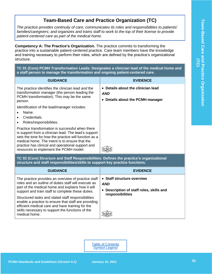## **Team-Based Care and Practice Organization (TC)**

<span id="page-5-0"></span>*The practice provides continuity of care; communicates its roles and responsibilities to patients/ families/caregivers; and organizes and trains staff to work to the top of their license to provide patient-centered care as part of the medical home.*

<span id="page-5-1"></span>**Competency A: The Practice's Organization.** The practice commits to transforming the practice into a sustainable patient-centered practice. Care team members have the knowledge and training necessary to perform their roles, which are defined by the practice's organizational structure.

#### <span id="page-5-2"></span>**TC 01 (Core) PCMH Transformation Leads: Designates a clinician lead of the medical home and a staff person to manage the transformation and ongoing patient-centered care.**

| <b>GUIDANCE</b>                                                                                                                                                                                                                                                                                                    | <b>EVIDENCE</b>                                                           |
|--------------------------------------------------------------------------------------------------------------------------------------------------------------------------------------------------------------------------------------------------------------------------------------------------------------------|---------------------------------------------------------------------------|
| The practice identifies the clinician lead and the<br>transformation manager (the person leading the<br>PCMH transformation). This may be the same<br>person.                                                                                                                                                      | Details about the clinician lead<br>AND<br>Details about the PCMH manager |
| Identification of the lead/manager includes:<br>Name.<br>Credentials.<br>Roles/responsibilities.                                                                                                                                                                                                                   |                                                                           |
| Practice transformation is successful when there<br>is support from a clinician lead. The lead's support<br>sets the tone for how the practice will function as a<br>medical home. The intent is to ensure that the<br>practice has clinical and operational support and<br>resources to implement the PCMH model. |                                                                           |

<span id="page-5-3"></span>**TC 02 (Core) Structure and Staff Responsibilities: Defines the practice's organizational structure and staff responsibilities/skills to support key practice functions.**

| <b>GUIDANCE</b>                                                                                                                                                                                                                     | <b>EVIDENCE</b>                                                                                                     |
|-------------------------------------------------------------------------------------------------------------------------------------------------------------------------------------------------------------------------------------|---------------------------------------------------------------------------------------------------------------------|
| The practice provides an overview of practice staff<br>roles and an outline of duties staff will execute as<br>part of the medical home and explains how it will<br>support and train staff to complete these duties.               | • Staff structure overview<br><b>AND</b><br>Description of staff roles, skills and<br>$\bullet$<br>responsibilities |
| Structured tasks and stated staff responsibilities<br>enable a practice to ensure that staff are providing<br>efficient medical care and have training for the<br>skills necessary to support the functions of the<br>medical home. |                                                                                                                     |

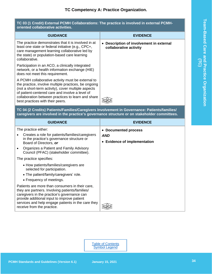## **TC Competency A: Practice Organization.**

<span id="page-6-1"></span><span id="page-6-0"></span>

| TC 03 (1 Credit) External PCMH Collaborations: The practice is involved in external PCMH-<br>oriented collaborative activities.                                                                                                                                                                               |                                                                    |  |
|---------------------------------------------------------------------------------------------------------------------------------------------------------------------------------------------------------------------------------------------------------------------------------------------------------------|--------------------------------------------------------------------|--|
| <b>GUIDANCE</b>                                                                                                                                                                                                                                                                                               | <b>EVIDENCE</b>                                                    |  |
| The practice demonstrates that it is involved in at<br>least one state or federal initiative (e.g., CPC+,<br>care management learning collaborative led by<br>the state) or population-based care learning<br>collaborative.                                                                                  | • Description of involvement in external<br>collaborative activity |  |
| Participation in an ACO, a clinically integrated<br>network, or a health information exchange (HIE)<br>does not meet this requirement.                                                                                                                                                                        |                                                                    |  |
| A PCMH collaborative activity must be external to<br>the practice, involve multiple practices, be ongoing<br>(not a short-term activity), cover multiple aspects<br>of patient-centered care and involve a level of<br>collaboration between practices to learn and share<br>best practices with their peers. |                                                                    |  |
| TC 04 (2 Credits) Patients/Families/Caregivers Involvement in Governance: Patients/families/<br>caregivers are involved in the practice's governance structure or on stakeholder committees.                                                                                                                  |                                                                    |  |
| <b>GUIDANCE</b>                                                                                                                                                                                                                                                                                               | <b>EVIDENCE</b>                                                    |  |
| The practice either:<br>Creates a role for patients/families/caregivers<br>$\bullet$                                                                                                                                                                                                                          | • Documented process                                               |  |
| in the practice's governance structure or<br>Board of Directors, or<br>Organizes a Patient and Family Advisory<br>$\bullet$<br>Council (PFAC) (stakeholder committee).                                                                                                                                        | <b>AND</b><br>• Evidence of implementation                         |  |
| The practice specifies:                                                                                                                                                                                                                                                                                       |                                                                    |  |
| • How patients/families/caregivers are<br>selected for participation.<br>• The patient/family/caregivers' role.<br>• Frequency of meetings.                                                                                                                                                                   |                                                                    |  |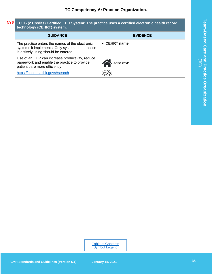#### <span id="page-7-0"></span>**TC 05 (2 Credits) Certified EHR System: The practice uses a certified electronic health record technology (CEHRT) system. NYS**

| <b>GUIDANCE</b>                                                                                                                             | <b>EVIDENCE</b>      |
|---------------------------------------------------------------------------------------------------------------------------------------------|----------------------|
| The practice enters the names of the electronic<br>systems it implements. Only systems the practice<br>is actively using should be entered. | $\bullet$ CEHRT name |
| Use of an EHR can increase productivity, reduce<br>paperwork and enable the practice to provide<br>patient care more efficiently.           | PCSP TC 05           |
| https://chpl.healthit.gov/#/search                                                                                                          |                      |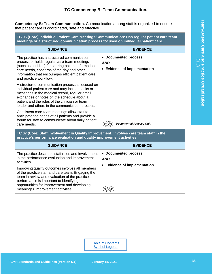## **TC Competency B: Team Communication.**

<span id="page-8-0"></span>**Competency B: Team Communication.** Communication among staff is organized to ensure that patient care is coordinated, safe and effective.

<span id="page-8-1"></span>**TC 06 (Core) Individual Patient Care Meetings/Communication: Has regular patient care team meetings or a structured communication process focused on individual patient care.**

| <b>GUIDANCE</b>                                                                                                                                                                                                                                                                                          | <b>EVIDENCE</b>                                                    |
|----------------------------------------------------------------------------------------------------------------------------------------------------------------------------------------------------------------------------------------------------------------------------------------------------------|--------------------------------------------------------------------|
| The practice has a structured communication<br>process or holds regular care-team meetings<br>(such as huddles) for sharing patient information,<br>care needs, concerns of the day and other<br>information that encourages efficient patient care<br>and practice workflow.                            | • Documented process<br><b>AND</b><br>• Evidence of implementation |
| A structured communication process is focused on<br>individual patient care and may include tasks or<br>messages in the medical record, regular email<br>exchanges or notes on the schedule about a<br>patient and the roles of the clinician or team<br>leader and others in the communication process. |                                                                    |
| Consistent care-team meetings allow staff to<br>anticipate the needs of all patients and provide a<br>forum for staff to communicate about daily patient<br>care needs.                                                                                                                                  | <b>Documented Process Only</b>                                     |

<span id="page-8-2"></span>**TC 07 (Core) Staff Involvement in Quality Improvement: Involves care team staff in the practice's performance evaluation and quality improvement activities.**

| <b>GUIDANCE</b>                                                                                                                                                                                                                                                                                                                                                                                                | <b>EVIDENCE</b>                                                    |
|----------------------------------------------------------------------------------------------------------------------------------------------------------------------------------------------------------------------------------------------------------------------------------------------------------------------------------------------------------------------------------------------------------------|--------------------------------------------------------------------|
| The practice describes staff roles and involvement<br>in the performance evaluation and improvement<br>activities.<br>Improving quality outcomes involves all members<br>of the practice staff and care team. Engaging the<br>team in review and evaluation of the practice's<br>performance is important to identifying<br>opportunities for improvement and developing<br>meaningful improvement activities. | • Documented process<br><b>AND</b><br>• Evidence of implementation |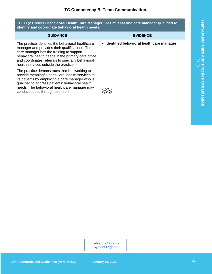<span id="page-9-0"></span>**TC 08 (2 Credits) Behavioral Health Care Manager: Has at least one care manager qualified to identify and coordinate behavioral health needs.**

| <b>GUIDANCE</b>                                                                                                                                                                                                                                                                                     | <b>EVIDENCE</b>                            |
|-----------------------------------------------------------------------------------------------------------------------------------------------------------------------------------------------------------------------------------------------------------------------------------------------------|--------------------------------------------|
| The practice identifies the behavioral healthcare<br>manager and provides their qualifications. The<br>care manager has the training to support<br>behavioral health needs in the primary care office<br>and coordinates referrals to specialty behavioral<br>health services outside the practice. | • Identified behavioral healthcare manager |
| The practice demonstrates that it is working to<br>provide meaningful behavioral health services to<br>its patients by employing a care manager who is<br>qualified to address patients' behavioral health<br>needs. The behavioral healthcare manager may<br>conduct duties through telehealth.    |                                            |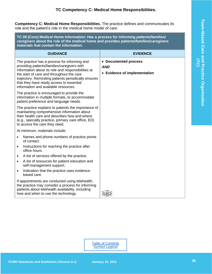## **TC Competency C: Medical Home Responsibilities.**

<span id="page-10-0"></span>**Competency C: Medical Home Responsibilities.** The practice defines and communicates its role and the patient's role in the medical home model of care.

<span id="page-10-1"></span>**TC 09 (Core) Medical Home Information: Has a process for informing patients/families/ caregivers about the role of the medical home and provides patients/families/caregivers materials that contain the information.**

| <b>GUIDANCE</b>                                                                                                                                                                                                                                                                                                                           | <b>EVIDENCE</b>                                                    |
|-------------------------------------------------------------------------------------------------------------------------------------------------------------------------------------------------------------------------------------------------------------------------------------------------------------------------------------------|--------------------------------------------------------------------|
| The practice has a process for informing and<br>providing patients/families/caregivers with<br>information about its role and responsibilities at<br>the start of care and throughout the care<br>trajectory. Reminding patients periodically ensures<br>that they have ready access to essential<br>information and available resources. | • Documented process<br><b>AND</b><br>• Evidence of implementation |
| The practice is encouraged to provide the<br>information in multiple formats, to accommodate<br>patient preference and language needs.                                                                                                                                                                                                    |                                                                    |
| The practice explains to patients the importance of<br>maintaining comprehensive information about<br>their health care and describes how and where<br>(e.g., specialty practice, primary care office, ED)<br>to access the care they need.                                                                                               |                                                                    |
| At minimum, materials include:                                                                                                                                                                                                                                                                                                            |                                                                    |
| Names and phone numbers of practice points<br>of contact.                                                                                                                                                                                                                                                                                 |                                                                    |
| Instructions for reaching the practice after<br>$\bullet$<br>office hours.                                                                                                                                                                                                                                                                |                                                                    |
| A list of services offered by the practice.<br>$\bullet$<br>A list of resources for patient education and<br>$\bullet$<br>self-management support.<br>Indication that the practice uses evidence-<br>$\bullet$<br>based care.                                                                                                             |                                                                    |
| If appointments are conducted using telehealth,<br>the practice may consider a process for informing<br>patients about telehealth availability, including<br>how and when to use the technology.                                                                                                                                          |                                                                    |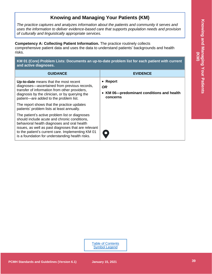## **Knowing and Managing Your Patients (KM)**

<span id="page-11-0"></span>*The practice captures and analyzes information about the patients and community it serves and uses the information to deliver evidence-based care that supports population needs and provision of culturally and linguistically appropriate services.*

<span id="page-11-1"></span>**Competency A: Collecting Patient Information.** The practice routinely collects comprehensive patient data and uses the data to understand patients' backgrounds and health risks.

<span id="page-11-2"></span>**KM 01 (Core) Problem Lists: Documents an up-to-date problem list for each patient with current and active diagnoses.**

| <b>GUIDANCE</b>                                                                                                                                                                                                                                                                                              | <b>EVIDENCE</b>                                                              |
|--------------------------------------------------------------------------------------------------------------------------------------------------------------------------------------------------------------------------------------------------------------------------------------------------------------|------------------------------------------------------------------------------|
| Up-to-date means that the most recent<br>diagnoses-ascertained from previous records,<br>transfer of information from other providers,<br>diagnosis by the clinician, or by querying the<br>patient-are added to the problem list.                                                                           | • Report<br><b>OR</b><br>KM 06-predominant conditions and health<br>concerns |
| The report shows that the practice updates<br>patients' problem lists at least annually.                                                                                                                                                                                                                     |                                                                              |
| The patient's active problem list or diagnoses<br>should include acute and chronic conditions.<br>behavioral health diagnoses and oral health<br>issues, as well as past diagnoses that are relevant<br>to the patient's current care. Implementing KM 01<br>is a foundation for understanding health risks. | $\bullet$                                                                    |

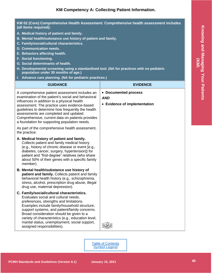#### <span id="page-12-0"></span>**KM 02 (Core) Comprehensive Health Assessment: Comprehensive health assessment includes (all items required):**

- **A. Medical history of patient and family.**
- **B. Mental health/substance use history of patient and family.**
- **C. Family/social/cultural characteristics.**
- **D. Communication needs.**
- **E. Behaviors affecting health.**
- **F. Social functioning.**
- **G. Social determinants of health.**
- **H. Developmental screening using a standardized tool. (NA for practices with no pediatric population under 30 months of age.)**
- **I. Advance care planning. (NA for pediatric practices.)**

| <b>GUIDANCE</b>                                                                                                                                                                                                                                                                                                                                                                                                  | <b>EVIDENCE</b>                                                    |
|------------------------------------------------------------------------------------------------------------------------------------------------------------------------------------------------------------------------------------------------------------------------------------------------------------------------------------------------------------------------------------------------------------------|--------------------------------------------------------------------|
| A comprehensive patient assessment includes an<br>examination of the patient's social and behavioral<br>influences in addition to a physical health<br>assessment. The practice uses evidence-based<br>guidelines to determine how frequently the health<br>assessments are completed and updated.<br>Comprehensive, current data on patients provides<br>a foundation for supporting population needs.          | • Documented process<br><b>AND</b><br>• Evidence of implementation |
| As part of the comprehensive health assessment,<br>the practice:                                                                                                                                                                                                                                                                                                                                                 |                                                                    |
| A. Medical history of patient and family.<br>Collects patient and family medical history<br>(e.g., history of chronic disease or event [e.g.,<br>diabetes, cancer, surgery, hypertension]) for<br>patient and "first-degree" relatives (who share<br>about 50% of their genes with a specific family<br>member).                                                                                                 |                                                                    |
| B. Mental health/substance use history of<br>patient and family. Collects patient and family<br>behavioral health history (e.g., schizophrenia,<br>stress, alcohol, prescription drug abuse, illegal<br>drug use, maternal depression).                                                                                                                                                                          |                                                                    |
| C. Family/social/cultural characteristics.<br>Evaluates social and cultural needs,<br>preferences, strengths and limitations.<br>Examples include family/household structure,<br>support systems, and patient/family concerns.<br>Broad consideration should be given to a<br>variety of characteristics (e.g., education level,<br>marital status, unemployment, social support,<br>assigned responsibilities). |                                                                    |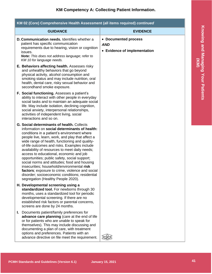| KM 02 (Core) Comprehensive Health Assessment (all items required) continued |                                                                                                                                                                                                                                                                                                                                                                                                                                                                                                                                                                                                                                                                                                 |                                                                    |
|-----------------------------------------------------------------------------|-------------------------------------------------------------------------------------------------------------------------------------------------------------------------------------------------------------------------------------------------------------------------------------------------------------------------------------------------------------------------------------------------------------------------------------------------------------------------------------------------------------------------------------------------------------------------------------------------------------------------------------------------------------------------------------------------|--------------------------------------------------------------------|
|                                                                             | <b>GUIDANCE</b>                                                                                                                                                                                                                                                                                                                                                                                                                                                                                                                                                                                                                                                                                 | <b>EVIDENCE</b>                                                    |
|                                                                             | D. Communication needs. Identifies whether a<br>patient has specific communication<br>requirements due to hearing, vision or cognition<br>issues.<br>Note: This does not address language; refer to<br>KM 10 for language needs.                                                                                                                                                                                                                                                                                                                                                                                                                                                                | • Documented process<br><b>AND</b><br>• Evidence of implementation |
|                                                                             | E. Behaviors affecting health. Assesses risky<br>and unhealthy behaviors that go beyond<br>physical activity, alcohol consumption and<br>smoking status and may include nutrition, oral<br>health, dental care, risky sexual behavior and<br>secondhand smoke exposure.                                                                                                                                                                                                                                                                                                                                                                                                                         |                                                                    |
|                                                                             | F. Social functioning. Assesses a patient's<br>ability to interact with other people in everyday<br>social tasks and to maintain an adequate social<br>life. May include isolation, declining cognition,<br>social anxiety, interpersonal relationships,<br>activities of independent living, social<br>interactions and so on.                                                                                                                                                                                                                                                                                                                                                                 |                                                                    |
|                                                                             | <b>G. Social determinants of health. Collects</b><br>information on social determinants of health:<br>conditions in a patient's environment where<br>people live, learn, work, and play that affect a<br>wide range of health, functioning and quality-<br>of-life outcomes and risks. Examples include<br>availability of resources to meet daily needs;<br>access to educational, economic and job<br>opportunities; public safety, social support;<br>social norms and attitudes; food and housing<br>insecurities; household/environmental risk<br>factors; exposure to crime, violence and social<br>disorder; socioeconomic conditions; residential<br>segregation (Healthy People 2020). |                                                                    |
|                                                                             | H. Developmental screening using a<br>standardized tool. For newborns through 30<br>months, uses a standardized tool for periodic<br>developmental screening. If there are no<br>established risk factors or parental concerns,<br>screens are done by 24 months.                                                                                                                                                                                                                                                                                                                                                                                                                               |                                                                    |
|                                                                             | I. Documents patient/family preferences for<br>advance care planning (care at the end of life<br>or for patients who are unable to speak for<br>themselves). This may include discussing and<br>documenting a plan of care, with treatment<br>options and preferences. Patients with an<br>advance directive on file meet the requirement.                                                                                                                                                                                                                                                                                                                                                      |                                                                    |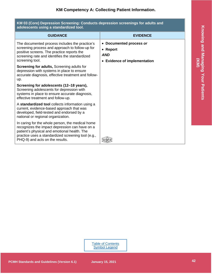<span id="page-14-0"></span>

| KM 03 (Core) Depression Screening: Conducts depression screenings for adults and<br>adolescents using a standardized tool.                                                                                                                  |                                                                                   |
|---------------------------------------------------------------------------------------------------------------------------------------------------------------------------------------------------------------------------------------------|-----------------------------------------------------------------------------------|
| <b>GUIDANCE</b>                                                                                                                                                                                                                             | <b>EVIDENCE</b>                                                                   |
| The documented process includes the practice's<br>screening process and approach to follow-up for<br>positive screens. The practice reports the<br>screening rate and identifies the standardized<br>screening tool.                        | • Documented process or<br>• Report<br><b>AND</b><br>• Evidence of implementation |
| Screening for adults, Screening adults for<br>depression with systems in place to ensure<br>accurate diagnosis, effective treatment and follow-<br>up.                                                                                      |                                                                                   |
| Screening for adolescents (12-18 years),<br>Screening adolescents for depression with<br>systems in place to ensure accurate diagnosis,<br>effective treatment and follow-up.                                                               |                                                                                   |
| A standardized tool collects information using a<br>current, evidence-based approach that was<br>developed, field-tested and endorsed by a<br>national or regional organization.                                                            |                                                                                   |
| In caring for the whole person, the medical home<br>recognizes the impact depression can have on a<br>patient's physical and emotional health. The<br>practice uses a standardized screening tool (e.g.,<br>PHQ-9) and acts on the results. |                                                                                   |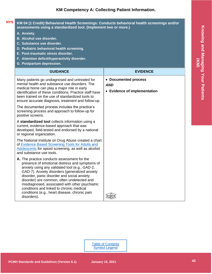<span id="page-15-0"></span>

| KM 04 (1 Credit) Behavioral Health Screenings: Conducts behavioral health screenings and/or<br>assessments using a standardized tool. (Implement two or more.)                                                                                                                                                                                                                                                                                                |                                                                    |
|---------------------------------------------------------------------------------------------------------------------------------------------------------------------------------------------------------------------------------------------------------------------------------------------------------------------------------------------------------------------------------------------------------------------------------------------------------------|--------------------------------------------------------------------|
| A. Anxiety.<br><b>B. Alcohol use disorder.</b><br>C. Substance use disorder.<br>D. Pediatric behavioral health screening.<br>E. Post-traumatic stress disorder.<br>F. Attention deficit/hyperactivity disorder.<br>G. Postpartum depression.                                                                                                                                                                                                                  |                                                                    |
| <b>GUIDANCE</b>                                                                                                                                                                                                                                                                                                                                                                                                                                               | <b>EVIDENCE</b>                                                    |
| Many patients go undiagnosed and untreated for<br>mental health and substance use disorders. The<br>medical home can play a major role in early<br>identification of these conditions. Practice staff have<br>been trained on the use of standardized tools to<br>ensure accurate diagnosis, treatment and follow-up.                                                                                                                                         | • Documented process<br><b>AND</b><br>• Evidence of implementation |
| The documented process includes the practice's<br>screening process and approach to follow-up for<br>positive screens.                                                                                                                                                                                                                                                                                                                                        |                                                                    |
| A standardized tool collects information using a<br>current, evidence-based approach that was<br>developed, field-tested and endorsed by a national<br>or regional organization.                                                                                                                                                                                                                                                                              |                                                                    |
| The National Institute on Drug Abuse created a chart<br>of Evidence Based Screening Tools for Adults and<br>Adolescents for opioid screening, as well as alcohol<br>and substance use tools.                                                                                                                                                                                                                                                                  |                                                                    |
| A. The practice conducts assessment for the<br>presence of emotional distress and symptoms of<br>anxiety using any validated tool (e.g., GAD-2,<br>GAD-7). Anxiety disorders (generalized anxiety<br>disorder, panic disorder and social anxiety<br>disorder) are common, often undetected and<br>misdiagnosed, associated with other psychiatric<br>conditions and linked to chronic medical<br>conditions (e.g., heart disease, chronic pain<br>disorders). |                                                                    |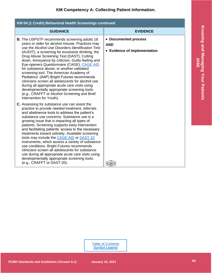| KM 04 (1 Credit) Behavioral Health Screenings continued                                                                                                                                                                                                                                                                                                                                                                                                                                                                                                                                                                                                                                                                                          |                                                                    |
|--------------------------------------------------------------------------------------------------------------------------------------------------------------------------------------------------------------------------------------------------------------------------------------------------------------------------------------------------------------------------------------------------------------------------------------------------------------------------------------------------------------------------------------------------------------------------------------------------------------------------------------------------------------------------------------------------------------------------------------------------|--------------------------------------------------------------------|
| <b>GUIDANCE</b>                                                                                                                                                                                                                                                                                                                                                                                                                                                                                                                                                                                                                                                                                                                                  | <b>EVIDENCE</b>                                                    |
| <b>B.</b> The USPSTF recommends screening adults 18<br>years or older for alcohol misuse. Practices may<br>use the Alcohol Use Disorders Identification Test<br>(AUDIT), a screening for excessive drinking; the<br>Drug Abuse Screening Test (DAST); Cutting<br>down, Annoyance by criticism, Guilty feeling and<br>Eye-openers Questionnaire (CAGE), CAGE AID<br>for substance abuse; or another validated<br>screening tool. The American Academy of<br>Pediatrics' (AAP) Bright Futures recommends<br>clinicians screen all adolescents for alcohol use<br>during all appropriate acute care visits using<br>developmentally appropriate screening tools.<br>(e.g., CRAFFT or Alcohol Screening and Brief<br>Intervention for Youth).        | • Documented process<br><b>AND</b><br>• Evidence of implementation |
| C. Assessing for substance use can assist the<br>practice to provide needed treatment, referrals<br>and abstinence tools to address the patient's<br>substance use concerns. Substance use is a<br>growing issue that is impacting all types of<br>patients. Screening supports early intervention<br>and facilitating patients' access to the necessary<br>treatments toward sobriety. Available screening<br>tools may include the CAGE AID or DAST-10<br>instruments, which assess a variety of substance<br>use conditions. Bright Futures recommends<br>clinicians screen all adolescents for substance<br>use during all appropriate acute care visits using<br>developmentally appropriate screening tools.<br>(e.g., CRAFFT or DAST-20). |                                                                    |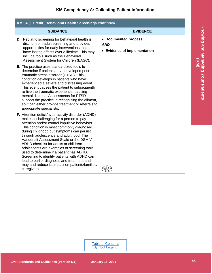| KM 04 (1 Credit) Behavioral Health Screenings continued |                                                                                                                                                                                                                                                                                                                                                                                                                                                                                                                                                                                                                                       |                                                                    |
|---------------------------------------------------------|---------------------------------------------------------------------------------------------------------------------------------------------------------------------------------------------------------------------------------------------------------------------------------------------------------------------------------------------------------------------------------------------------------------------------------------------------------------------------------------------------------------------------------------------------------------------------------------------------------------------------------------|--------------------------------------------------------------------|
|                                                         | <b>GUIDANCE</b>                                                                                                                                                                                                                                                                                                                                                                                                                                                                                                                                                                                                                       | <b>EVIDENCE</b>                                                    |
|                                                         | <b>D.</b> Pediatric screening for behavioral health is<br>distinct from adult screening and provides<br>opportunities for early interventions that can<br>have lasting effects over a lifetime. This may<br>include tools such as the Behavioral<br>Assessment System for Children (BASC).                                                                                                                                                                                                                                                                                                                                            | • Documented process<br><b>AND</b><br>• Evidence of implementation |
|                                                         | <b>E.</b> The practice uses standardized tools to<br>determine if patients have developed post-<br>traumatic stress disorder (PTSD). This<br>condition develops in patients who have<br>experienced a severe and distressing event.<br>This event causes the patient to subsequently<br>re-live the traumatic experience, causing<br>mental distress. Assessments for PTSD<br>support the practice in recognizing the ailment,<br>so it can either provide treatment or referrals to<br>appropriate specialists.                                                                                                                      |                                                                    |
|                                                         | F. Attention deficit/hyperactivity disorder (ADHD)<br>makes it challenging for a person to pay<br>attention and/or control impulsive behaviors.<br>This condition is most commonly diagnosed<br>during childhood but symptoms can persist<br>through adolescence and adulthood. The<br>Vanderbilt Assessment Scale or the DSM V<br>ADHD checklist for adults or children/<br>adolescents are examples of screening tools<br>used to determine if a patient has ADHD.<br>Screening to identify patients with ADHD can<br>lead to earlier diagnosis and treatment and<br>may and reduce its impact on patients/families/<br>caregivers. |                                                                    |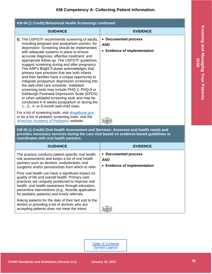| KM 04 (1 Credit) Behavioral Health Screenings continued                                                                                                                                                                                                                                                                                                                                                                                                                                                                                                                                                                                                                                                                                                                                                                                   |                                                                    |
|-------------------------------------------------------------------------------------------------------------------------------------------------------------------------------------------------------------------------------------------------------------------------------------------------------------------------------------------------------------------------------------------------------------------------------------------------------------------------------------------------------------------------------------------------------------------------------------------------------------------------------------------------------------------------------------------------------------------------------------------------------------------------------------------------------------------------------------------|--------------------------------------------------------------------|
| <b>GUIDANCE</b>                                                                                                                                                                                                                                                                                                                                                                                                                                                                                                                                                                                                                                                                                                                                                                                                                           | <b>EVIDENCE</b>                                                    |
| <b>G.</b> The USPSTF recommends screening of adults,<br>including pregnant and postpartum women, for<br>depression. Screening should be implemented<br>with adequate systems in place to ensure<br>accurate diagnosis, effective treatment, and<br>appropriate follow-up. The USPSTF guidelines<br>suggest screening during and after pregnancy.<br>The AAP's Bright Futures acknowledges that<br>primary care practices that see both infants<br>and their families have a unique opportunity to<br>integrate postpartum depression screening into<br>the well-child care schedule. Validated<br>screening tools may include PHQ-2, PHQ-9 or<br>Edinburgh Postnatal Depression Scale (EPDS)<br>or other validated screening tools and may be<br>conducted 4–6 weeks postpartum or during the<br>1-, 2-, 4- or 6-month well-child visits. | • Documented process<br><b>AND</b><br>• Evidence of implementation |
| For a list of screening tools, visit drugabuse.gov,<br>or for a list of pediatric screening tools, visit the<br>American Academy of Pediatrics website.                                                                                                                                                                                                                                                                                                                                                                                                                                                                                                                                                                                                                                                                                   |                                                                    |

<span id="page-18-0"></span>**KM 05 (1 Credit) Oral Health Assessment and Services: Assesses oral health needs and provides necessary services during the care visit based on evidence-based guidelines or coordinates with oral health partners.**

| <b>GUIDANCE</b>                                                                                                                                                                                                                                                                                                         | <b>EVIDENCE</b>                                                    |
|-------------------------------------------------------------------------------------------------------------------------------------------------------------------------------------------------------------------------------------------------------------------------------------------------------------------------|--------------------------------------------------------------------|
| The practice conducts patient-specific oral health<br>risk assessments and keeps a list of oral health<br>partners such as dentists, endodontists, oral<br>surgeons and/or periodontists from which to refer.                                                                                                           | • Documented process<br><b>AND</b><br>• Evidence of implementation |
| Poor oral health can have a significant impact on<br>quality of life and overall health. Primary care<br>practices are uniquely positioned to improve oral<br>health, oral health awareness through education,<br>preventive interventions (e.g., fluoride application<br>for pediatric patients) and timely referrals. |                                                                    |
| Asking patients for the date of their last visit to the<br>dentist or providing a list of dentists who are<br>accepting patients does not meet the intent.                                                                                                                                                              |                                                                    |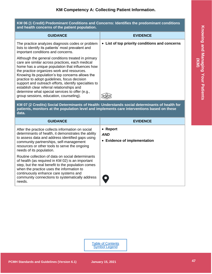#### <span id="page-19-0"></span>**KM 06 (1 Credit) Predominant Conditions and Concerns: Identifies the predominant conditions and health concerns of the patient population.**

| <b>GUIDANCE</b>                                                                                                                                                                                                                                                                                                                                                                                                                                                                                                  | <b>EVIDENCE</b>                                |
|------------------------------------------------------------------------------------------------------------------------------------------------------------------------------------------------------------------------------------------------------------------------------------------------------------------------------------------------------------------------------------------------------------------------------------------------------------------------------------------------------------------|------------------------------------------------|
| The practice analyzes diagnosis codes or problem<br>lists to identify its patients' most prevalent and<br>important conditions and concerns.                                                                                                                                                                                                                                                                                                                                                                     | • List of top priority conditions and concerns |
| Although the general conditions treated in primary<br>care are similar across practices, each medical<br>home has a unique population that influences how<br>the practice organizes work and resources.<br>Knowing its population's top concerns allows the<br>practice to adopt guidelines, focus decision<br>support and outreach efforts, identify specialties to<br>establish clear referral relationships and<br>determine what special services to offer (e.g.,<br>group sessions, education, counseling). |                                                |

<span id="page-19-1"></span>**KM 07 (2 Credits) Social Determinants of Health: Understands social determinants of health for patients, monitors at the population level and implements care interventions based on these data.**

| <b>GUIDANCE</b>                                                                                                                                                                                                                                                                                                | <b>EVIDENCE</b>                                        |
|----------------------------------------------------------------------------------------------------------------------------------------------------------------------------------------------------------------------------------------------------------------------------------------------------------------|--------------------------------------------------------|
| After the practice collects information on social<br>determinants of health, it demonstrates the ability<br>to assess data and address identified gaps using<br>community partnerships, self-management<br>resources or other tools to serve the ongoing<br>needs of its population.                           | • Report<br><b>AND</b><br>• Evidence of implementation |
| Routine collection of data on social determinants<br>of health (as required in KM 02) is an important<br>step, but the real benefit to the population comes<br>when the practice uses the information to<br>continuously enhance care systems and<br>community connections to systematically address<br>needs. | $\bullet$                                              |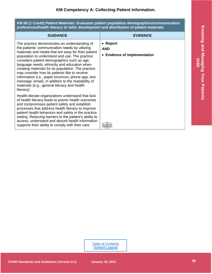<span id="page-20-0"></span>**KM 08 (1 Credit) Patient Materials: Evaluates patient population demographics/communication preferences/health literacy to tailor development and distribution of patient materials.**

| <b>GUIDANCE</b>                                                                                                                                                                                                                                                                                                                                                                                                                                                                                                                                                                           | <b>EVIDENCE</b>                                        |
|-------------------------------------------------------------------------------------------------------------------------------------------------------------------------------------------------------------------------------------------------------------------------------------------------------------------------------------------------------------------------------------------------------------------------------------------------------------------------------------------------------------------------------------------------------------------------------------------|--------------------------------------------------------|
| The practice demonstrates an understanding of<br>the patients' communication needs by utilizing<br>materials and media that are easy for their patient<br>population to understand and use. The practice<br>considers patient demographics such as age,<br>language needs, ethnicity and education when<br>creating materials for its population. The practice<br>may consider how its patients like to receive<br>information (i.e., paper brochure, phone app, text<br>message, email), in addition to the readability of<br>materials (e.g., general literacy and health<br>literacy). | • Report<br><b>AND</b><br>• Evidence of implementation |
| Health-literate organizations understand that lack<br>of health literacy leads to poorer health outcomes<br>and compromises patient safety and establish<br>processes that address health literacy to improve<br>patient health behaviors and safety in the practice<br>setting. Reducing barriers to the patient's ability to<br>access, understand and absorb health information<br>supports their ability to comply with their care.                                                                                                                                                   |                                                        |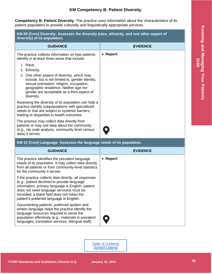## **KM Competency B: Patient Diversity.**

<span id="page-21-0"></span>**Competency B: Patient Diversity.** The practice uses information about the characteristics of its patient population to provide culturally and linguistically appropriate services.

<span id="page-21-1"></span>

| KM 09 (Core) Diversity: Assesses the diversity (race, ethnicity, and one other aspect of<br>diversity) of its population. |                                                                                                                                                                                                                                                                                |                 |
|---------------------------------------------------------------------------------------------------------------------------|--------------------------------------------------------------------------------------------------------------------------------------------------------------------------------------------------------------------------------------------------------------------------------|-----------------|
|                                                                                                                           | <b>GUIDANCE</b>                                                                                                                                                                                                                                                                | <b>EVIDENCE</b> |
|                                                                                                                           | The practice collects information on how patients<br>identify in at least three areas that include:                                                                                                                                                                            | • Report        |
|                                                                                                                           | 1. Race.<br>2. Ethnicity.<br>3. One other aspect of diversity, which may<br>include, but is not limited to, gender identity,<br>sexual orientation, religion, occupation,<br>geographic residence. Neither age nor<br>gender are acceptable as a third aspect of<br>diversity. |                 |
|                                                                                                                           | Assessing the diversity of its population can help a<br>practice identify subpopulations with specialized<br>needs or that are subject to systemic barriers,<br>leading to disparities in health outcomes.                                                                     |                 |
|                                                                                                                           | The practice may collect data directly from<br>patients or may use data about the community<br>(e.g., zip code analysis, community level census<br>data) it serves.                                                                                                            |                 |

### <span id="page-21-2"></span>**KM 10 (Core) Language: Assesses the language needs of its population.**

| <b>GUIDANCE</b>                                                                                                                                                                                                                                                                                | <b>EVIDENCE</b>  |
|------------------------------------------------------------------------------------------------------------------------------------------------------------------------------------------------------------------------------------------------------------------------------------------------|------------------|
| The practice identifies the prevalent language<br>needs of its population. It may collect data directly<br>from all patients or from community-level statistics<br>for the community it serves.                                                                                                | $\bullet$ Report |
| If the practice collects data directly, all responses<br>(e.g., patient declined to provide language<br>information, primary language is English, patient<br>does not need language services) must be<br>recorded; a blank field does not mean the<br>patient's preferred language is English. |                  |
| Documenting patients' preferred spoken and<br>written language helps the practice identify the<br>language resources required to serve the<br>population effectively (e.g., materials in prevalent<br>languages, translation services, bilingual staff).                                       |                  |

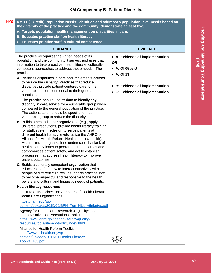## **KM Competency B: Patient Diversity.**

#### <span id="page-22-0"></span>**KM 11 (1 Credit) Population Needs: Identifies and addresses population-level needs based on the diversity of the practice and the community (demonstrate at least two): NYS**

- **A. Targets population health management on disparities in care.**
- **B. Educates practice staff on health literacy.**
- **C. Educates practice staff in cultural competence.**

| <b>GUIDANCE</b>                                                                                                                                                                                                                                                                                                                                                                                                                                                                                                                           | <b>EVIDENCE</b>                                                                              |
|-------------------------------------------------------------------------------------------------------------------------------------------------------------------------------------------------------------------------------------------------------------------------------------------------------------------------------------------------------------------------------------------------------------------------------------------------------------------------------------------------------------------------------------------|----------------------------------------------------------------------------------------------|
| The practice recognizes the varied needs of its<br>population and the community it serves, and uses that<br>information to take proactive, health literate, culturally<br>competent approaches to address those needs. The<br>practice:                                                                                                                                                                                                                                                                                                   | • A: Evidence of implementation<br><b>OR</b><br>$\bullet$ A: QI 05 and<br>$\bullet$ A: QI 13 |
| A. Identifies disparities in care and implements actions<br>to reduce the disparity. Practices that reduce<br>disparities provide patient-centered care to their<br>vulnerable populations equal to their general<br>population.<br>The practice should use its data to identify any                                                                                                                                                                                                                                                      | • B: Evidence of implementation<br>• C: Evidence of implementation                           |
| disparity in care/service for a vulnerable group when<br>compared to the general population of the practice.<br>The actions taken should be specific to that<br>vulnerable group to reduce the disparity.                                                                                                                                                                                                                                                                                                                                 |                                                                                              |
| <b>B.</b> Builds a health-literate organization (e.g., apply<br>universal precautions, provide health literacy training<br>for staff, system redesign to serve patients at<br>different health literacy levels, utilize the AHRQ or<br>Alliance for Health Reform Health Literacy toolkit).<br>Health-literate organizations understand that lack of<br>health literacy leads to poorer health outcomes and<br>compromises patient safety, and act to establish<br>processes that address health literacy to improve<br>patient outcomes. |                                                                                              |
| C. Builds a culturally competent organization that<br>educates staff on how to interact effectively with<br>people of different cultures. It supports practice staff<br>to become respectful and responsive to the health<br>beliefs and cultural and linguistic needs of patients.                                                                                                                                                                                                                                                       |                                                                                              |
| <b>Health literacy resources</b>                                                                                                                                                                                                                                                                                                                                                                                                                                                                                                          |                                                                                              |
| Institute of Medicine: Ten Attributes of Health Literate<br><b>Health Care Organizations</b>                                                                                                                                                                                                                                                                                                                                                                                                                                              |                                                                                              |
| https://nam.edu/wp-<br>content/uploads/2015/06/BPH_Ten_HLit_Attributes.pdf                                                                                                                                                                                                                                                                                                                                                                                                                                                                |                                                                                              |
| Agency for Healthcare Research & Quality: Health<br><b>Literacy Universal Precautions Toolkit:</b><br>https://www.ahrq.gov/health-literacy/quality-<br>resources/tools/literacy-toolkit/index.html                                                                                                                                                                                                                                                                                                                                        |                                                                                              |
| Alliance for Health Reform Toolkit:<br>http://www.allhealth.org/wp-<br>content/uploads/2017/01/Health-Literacy-<br>Toolkit_163.pdf                                                                                                                                                                                                                                                                                                                                                                                                        |                                                                                              |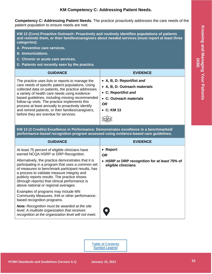## **KM Competency C: Addressing Patient Needs.**

<span id="page-23-0"></span>**Competency C: Addressing Patient Needs.** The practice proactively addresses the care needs of the patient population to ensure needs are met.

<span id="page-23-1"></span>**KM 12 (Core) Proactive Outreach: Proactively and routinely identifies populations of patients and reminds them, or their families/caregivers about needed services (must report at least three categories):**

- **A. Preventive care services.**
- **B. Immunizations.**
- **C. Chronic or acute care services.**
- **D. Patients not recently seen by the practice.**

| <b>GUIDANCE</b>                                                                                                                                                                                                                                                                                                                                                                                                                                                        | <b>EVIDENCE</b>                                                                                                                                   |
|------------------------------------------------------------------------------------------------------------------------------------------------------------------------------------------------------------------------------------------------------------------------------------------------------------------------------------------------------------------------------------------------------------------------------------------------------------------------|---------------------------------------------------------------------------------------------------------------------------------------------------|
| The practice uses lists or reports to manage the<br>care needs of specific patient populations. Using<br>collected data on patients, the practice addresses<br>a variety of health care needs using evidence-<br>based guidelines, including missing recommended<br>follow-up visits. The practice implements this<br>process at least annually to proactively identify<br>and remind patients, or their families/caregivers,<br>before they are overdue for services. | • A, B, D: Report/list and<br>• A, B, D: Outreach materials<br>• C: Report/list and<br>• C: Outreach materials<br><b>OR</b><br>$\bullet$ C: KM 13 |

<span id="page-23-2"></span>**KM 13 (2 Credits) Excellence in Performance: Demonstrates excellence in a benchmarked/ performance-based recognition program assessed using evidence-based care guidelines.**

| <b>GUIDANCE</b>                                                                                                                                                                                                                                                                                                                                        | <b>EVIDENCE</b>                                                      |
|--------------------------------------------------------------------------------------------------------------------------------------------------------------------------------------------------------------------------------------------------------------------------------------------------------------------------------------------------------|----------------------------------------------------------------------|
| At least 75 percent of eligible clinicians have<br>earned NCQA HSRP or DRP Recognition.                                                                                                                                                                                                                                                                | • Report<br>OR.                                                      |
| Alternatively, the practice demonstrates that it is<br>participating in a program that uses a common set<br>of measures to benchmark participant results, has<br>a process to validate measure integrity and<br>publicly reports results. The practice shows<br>(through reports) that clinical performance is<br>above national or regional averages. | • HSRP or DRP recognition for at least 75% of<br>eligible clinicians |
| Examples of programs may include MN<br>Community Measures, IHA or other performance-<br>based recognition programs.                                                                                                                                                                                                                                    |                                                                      |
| <b>Note:</b> Recognition must be awarded at the site<br>level. A multisite organization that receives<br>recognition at the organization level will not meet.                                                                                                                                                                                          | $\mathbf O$                                                          |

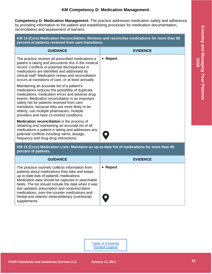## **KM Competency D: Medication Management.**

<span id="page-24-0"></span>**Competency D: Medication Management.** The practice addresses medication safety and adherence by providing information to the patient and establishing processes for medication documentation, reconciliation and assessment of barriers.

<span id="page-24-1"></span>**KM 14 (Core) Medication Reconciliation: Reviews and reconciles medications for more than 80 percent of patients received from care transitions.**

| <b>GUIDANCE</b>                                                                                                                                                                                                                                                                                                                                                                                    | <b>EVIDENCE</b> |
|----------------------------------------------------------------------------------------------------------------------------------------------------------------------------------------------------------------------------------------------------------------------------------------------------------------------------------------------------------------------------------------------------|-----------------|
| The practice reviews all prescribed medications a<br>patient is taking and documents this in the medical<br>record. Conflicts or potential discrepancies in<br>medications are identified and addressed by<br>clinical staff. Medication review and reconciliation<br>occurs at transitions of care, or at least annually.                                                                         | • Report        |
| Maintaining an accurate list of a patient's<br>medications reduces the possibility of duplicate<br>medications, medication errors and adverse drug<br>events. Medication reconciliation is an important<br>safety net for patients received from care<br>transitions, because they are more likely to be<br>elderly, use multiple pharmacies, multiple<br>providers and have co-morbid conditions. |                 |
| <b>Medication reconciliation</b> is the process of<br>obtaining and maintaining an accurate list of all<br>medications a patient is taking and addresses any<br>potential conflicts including name, dosage,<br>frequency and drug-drug interactions.                                                                                                                                               |                 |

<span id="page-24-2"></span>**KM 15 (Core) Medication Lists: Maintains an up-to-date list of medications for more than 80 percent of patients.**

| <b>GUIDANCE</b>                                                                                                                                                                                                                                                                                                                                                                                                                      | <b>EVIDENCE</b> |
|--------------------------------------------------------------------------------------------------------------------------------------------------------------------------------------------------------------------------------------------------------------------------------------------------------------------------------------------------------------------------------------------------------------------------------------|-----------------|
| The practice routinely collects information from<br>patients about medications they take and keeps<br>up-to-date lists of patients' medications.<br>Medication data should be captured in searchable<br>fields. The list should include the date when it was<br>last updated, prescription and nonprescription<br>medications, over-the-counter medications and<br>herbal and vitamin/ mineral/dietary (nutritional)<br>supplements. | • Report        |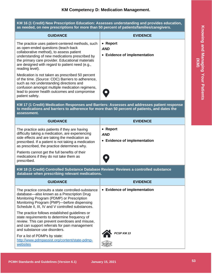## **KM Competency D: Medication Management.**

<span id="page-25-0"></span>**KM 16 (1 Credit) New Prescription Education: Assesses understanding and provides education, as needed, on new prescriptions for more than 50 percent of patients/families/caregivers.**

| <b>GUIDANCE</b>                                                                                                                                                                                                                                                                                                 | <b>EVIDENCE</b>                                        |
|-----------------------------------------------------------------------------------------------------------------------------------------------------------------------------------------------------------------------------------------------------------------------------------------------------------------|--------------------------------------------------------|
| The practice uses patient-centered methods, such<br>as open-ended questions (teach-back<br>collaborative method), to assess patient<br>understanding of new medications prescribed by<br>the primary care provider. Educational materials<br>are designed with regard to patient need (e.g.,<br>reading level). | • Report<br><b>AND</b><br>• Evidence of implementation |
| Medication is not taken as prescribed 50 percent<br>of the time. (Source: CDC) Barriers to adherence,<br>such as not understanding directions and<br>confusion amongst multiple medication regimens,<br>lead to poorer health outcomes and compromise<br>patient safety.                                        |                                                        |

<span id="page-25-1"></span>**KM 17 (1 Credit) Medication Responses and Barriers: Assesses and addresses patient response to medications and barriers to adherence for more than 50 percent of patients, and dates the assessment.**

| <b>GUIDANCE</b>                                                                                                                                                                                                                                          | <b>EVIDENCE</b>                                                |
|----------------------------------------------------------------------------------------------------------------------------------------------------------------------------------------------------------------------------------------------------------|----------------------------------------------------------------|
| The practice asks patients if they are having<br>difficulty taking a medication, are experiencing<br>side effects and are taking the medication as<br>prescribed. If a patient is not taking a medication<br>as prescribed, the practice determines why. | $\bullet$ Report<br><b>AND</b><br>• Evidence of implementation |
| Patients cannot get the full benefits of their<br>medications if they do not take them as<br>prescribed.                                                                                                                                                 | $\bullet$                                                      |

<span id="page-25-2"></span>**KM 18 (1 Credit) Controlled Substance Database Review: Reviews a controlled substance database when prescribing relevant medications.**

| <b>GUIDANCE</b>                                                                                                                                                                                                                                  | <b>EVIDENCE</b>              |
|--------------------------------------------------------------------------------------------------------------------------------------------------------------------------------------------------------------------------------------------------|------------------------------|
| The practice consults a state controlled-substance<br>database-also known as a Prescription Drug<br>Monitoring Program (PDMP) or Prescription<br>Monitoring Program (PMP)—before dispensing<br>Schedule II, III, IV and V controlled substances. | • Evidence of implementation |
| The practice follows established guidelines or<br>state requirements to determine frequency of<br>review. This can prevent overdoses and misuse,<br>and can support referrals for pain management<br>and substance use disorders.                |                              |
| For a list of PDMPs by state:<br>http://www.pdmpassist.org/content/state-pdmp-<br>websites                                                                                                                                                       | PCSP KM 13                   |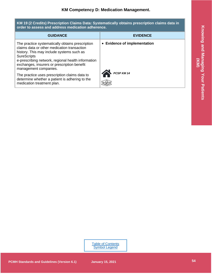#### <span id="page-26-0"></span>**KM 19 (2 Credits) Prescription Claims Data: Systematically obtains prescription claims data in order to assess and address medication adherence.**

| <b>GUIDANCE</b>                                                                                                                                                                                                                                                                                  | <b>EVIDENCE</b>              |
|--------------------------------------------------------------------------------------------------------------------------------------------------------------------------------------------------------------------------------------------------------------------------------------------------|------------------------------|
| The practice systematically obtains prescription<br>claims data or other medication transaction<br>history. This may include systems such as<br><b>SureScripts</b><br>e-prescribing network, regional health information<br>exchanges, insurers or prescription benefit<br>management companies. | • Evidence of implementation |
| The practice uses prescription claims data to<br>determine whether a patient is adhering to the<br>medication treatment plan.                                                                                                                                                                    | PCSP KM 14                   |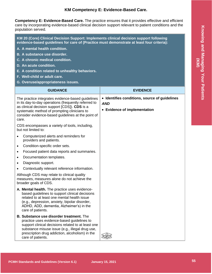## **KM Competency E: Evidence-Based Care.**

<span id="page-27-0"></span>**Competency E: Evidence-Based Care.** The practice ensures that it provides effective and efficient care by incorporating evidence-based clinical decision support relevant to patient conditions and the population served.

<span id="page-27-1"></span>**KM 20 (Core) Clinical Decision Support: Implements clinical decision support following evidence-based guidelines for care of (Practice must demonstrate at least four criteria):**

- **A. A mental health condition.**
- **B. A substance use disorder.**
- **C. A chronic medical condition.**
- **D. An acute condition.**
- **E. A condition related to unhealthy behaviors.**
- **F. Well-child or adult care.**
- **G. Overuse/appropriateness issues.**

| <b>GUIDANCE</b>                                                                                                                                                                                                                                                           | <b>EVIDENCE</b>                                                                             |
|---------------------------------------------------------------------------------------------------------------------------------------------------------------------------------------------------------------------------------------------------------------------------|---------------------------------------------------------------------------------------------|
| The practice integrates evidence-based guidelines<br>in its day-to-day operations (frequently referred to<br>as clinical decision support [CDS]). CDS is a<br>systematic method of prompting clinicians to<br>consider evidence-based guidelines at the point of<br>care. | • Identifies conditions, source of guidelines<br><b>AND</b><br>• Evidence of implementation |
| CDS encompasses a variety of tools, including,<br>but not limited to:                                                                                                                                                                                                     |                                                                                             |
| Computerized alerts and reminders for<br>providers and patients.                                                                                                                                                                                                          |                                                                                             |
| Condition-specific order sets.<br>$\bullet$                                                                                                                                                                                                                               |                                                                                             |
| Focused patient data reports and summaries.<br>$\bullet$                                                                                                                                                                                                                  |                                                                                             |
| Documentation templates.<br>$\bullet$                                                                                                                                                                                                                                     |                                                                                             |
| Diagnostic support.                                                                                                                                                                                                                                                       |                                                                                             |
| Contextually relevant reference information.<br>$\bullet$                                                                                                                                                                                                                 |                                                                                             |
| Although CDS may relate to clinical quality<br>measures, measures alone do not achieve the<br>broader goals of CDS.                                                                                                                                                       |                                                                                             |
| A. Mental health. The practice uses evidence-<br>based guidelines to support clinical decisions<br>related to at least one mental health issue<br>(e.g., depression, anxiety, bipolar disorder,<br>ADHD, ADD, dementia, Alzheimer's) in the<br>care of patients.          |                                                                                             |
| B. Substance use disorder treatment. The<br>practice uses evidence-based guidelines to<br>support clinical decisions related to at least one<br>substance misuse issue (e.g., illegal drug use,<br>prescription drug addiction, alcoholism) in the<br>care of patients.   |                                                                                             |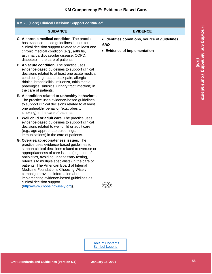## **KM Competency E: Evidence-Based Care.**

| <b>KM 20 (Core) Clinical Decision Support continued</b>                                                                                                                                                                                                                                                                                                                                                                                                                                                                                      |                                                                                             |  |
|----------------------------------------------------------------------------------------------------------------------------------------------------------------------------------------------------------------------------------------------------------------------------------------------------------------------------------------------------------------------------------------------------------------------------------------------------------------------------------------------------------------------------------------------|---------------------------------------------------------------------------------------------|--|
| <b>GUIDANCE</b>                                                                                                                                                                                                                                                                                                                                                                                                                                                                                                                              | <b>EVIDENCE</b>                                                                             |  |
| C. A chronic medical condition. The practice<br>has evidence-based guidelines it uses for<br>clinical decision support related to at least one<br>chronic medical condition (e.g., arthritis,<br>asthma, cardiovascular disease, COPD,<br>diabetes) in the care of patients.                                                                                                                                                                                                                                                                 | • Identifies conditions, source of guidelines<br><b>AND</b><br>• Evidence of implementation |  |
| D. An acute condition. The practice uses<br>evidence-based guidelines to support clinical<br>decisions related to at least one acute medical<br>condition (e.g., acute back pain, allergic<br>rhinitis, bronchiolitis, influenza, otitis media,<br>pharyngitis, sinusitis, urinary tract infection) in<br>the care of patients.                                                                                                                                                                                                              |                                                                                             |  |
| E. A condition related to unhealthy behaviors.<br>The practice uses evidence-based guidelines<br>to support clinical decisions related to at least<br>one unhealthy behavior (e.g., obesity,<br>smoking) in the care of patients.                                                                                                                                                                                                                                                                                                            |                                                                                             |  |
| F. Well child or adult care. The practice uses<br>evidence-based guidelines to support clinical<br>decisions related to well-child or adult care<br>(e.g., age appropriate screenings,<br>immunizations) in the care of patients.                                                                                                                                                                                                                                                                                                            |                                                                                             |  |
| G. Overuse/appropriateness issues. The<br>practice uses evidence-based guidelines to<br>support clinical decisions related to overuse or<br>appropriateness of care issues (e.g., use of<br>antibiotics, avoiding unnecessary testing,<br>referrals to multiple specialists) in the care of<br>patients. The American Board of Internal<br><b>Medicine Foundation's Choosing Wisely</b><br>campaign provides information about<br>implementing evidence-based guidelines as<br>clinical decision support<br>(http://www.choosingwisely.org). |                                                                                             |  |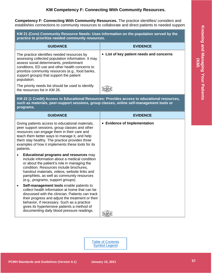## **KM Competency F: Connecting With Community Resources.**

<span id="page-29-0"></span>**Competency F: Connecting With Community Resources.** The practice identifies/ considers and establishes connections to community resources to collaborate and direct patients to needed support.

<span id="page-29-2"></span><span id="page-29-1"></span>

| KM 21 (Core) Community Resource Needs: Uses information on the population served by the<br>practice to prioritize needed community resources.                                                                                                                                                                                                 |                                          |  |
|-----------------------------------------------------------------------------------------------------------------------------------------------------------------------------------------------------------------------------------------------------------------------------------------------------------------------------------------------|------------------------------------------|--|
| <b>GUIDANCE</b>                                                                                                                                                                                                                                                                                                                               | <b>EVIDENCE</b>                          |  |
| The practice identifies needed resources by<br>assessing collected population information. It may<br>assess social determinants, predominant<br>conditions, ED use and other health concerns to<br>prioritize community resources (e.g., food banks,<br>support groups) that support the patient<br>population.                               | • List of key patient needs and concerns |  |
| The priority needs list should be used to identify<br>the resources list in KM 26.                                                                                                                                                                                                                                                            |                                          |  |
| KM 22 (1 Credit) Access to Educational Resources: Provides access to educational resources,<br>such as materials, peer-support sessions, group classes, online self-management tools or<br>programs.                                                                                                                                          |                                          |  |
| <b>GUIDANCE</b>                                                                                                                                                                                                                                                                                                                               | <b>EVIDENCE</b>                          |  |
| Giving patients access to educational materials,<br>peer support sessions, group classes and other<br>resources can engage them in their care and<br>teach them better ways to manage it, and help<br>them stay healthy. The practice provides three<br>examples of how it implements these tools for its<br>patients.                        | • Evidence of Implementation             |  |
| Educational programs and resources may<br>include information about a medical condition<br>or about the patient's role in managing the<br>condition. Resources include brochures,<br>handout materials, videos, website links and<br>pamphlets, as well as community resources<br>(e.g., programs, support groups).                           |                                          |  |
| Self-management tools enable patients to<br>collect health information at home that can be<br>discussed with the clinician. Patients can track<br>their progress and adjust the treatment or their<br>behavior, if necessary. Such as a practice<br>gives its hypertensive patients a method of<br>documenting daily blood pressure readings. |                                          |  |

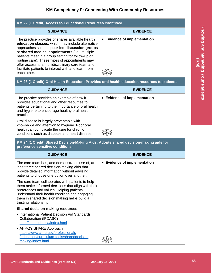## **KM Competency F: Connecting With Community Resources.**

| KM 22 (1 Credit) Access to Educational Resources continued                                                                                                                                                                                                                                                                                                                                                                                |                              |  |
|-------------------------------------------------------------------------------------------------------------------------------------------------------------------------------------------------------------------------------------------------------------------------------------------------------------------------------------------------------------------------------------------------------------------------------------------|------------------------------|--|
| <b>GUIDANCE</b>                                                                                                                                                                                                                                                                                                                                                                                                                           | <b>EVIDENCE</b>              |  |
| The practice provides or shares available health<br>education classes, which may include alternative<br>approaches such as peer-led discussion groups<br>or shared medical appointments (i.e., multiple<br>patients meet in a group setting for follow-up or<br>routine care). These types of appointments may<br>offer access to a multidisciplinary care team and<br>facilitate patients to interact with and learn from<br>each other. | • Evidence of implementation |  |

#### <span id="page-30-0"></span>**KM 23 (1 Credit) Oral Health Education: Provides oral health education resources to patients.**

| <b>GUIDANCE</b>                                                                                                                                                                                                 | <b>EVIDENCE</b>              |
|-----------------------------------------------------------------------------------------------------------------------------------------------------------------------------------------------------------------|------------------------------|
| The practice provides an example of how it<br>provides educational and other resources to<br>patients pertaining to the importance of oral health<br>and hygiene to encourage healthy oral health<br>practices. | • Evidence of implementation |
| Oral disease is largely preventable with<br>knowledge and attention to hygiene. Poor oral<br>health can complicate the care for chronic<br>conditions such as diabetes and heart disease.                       |                              |

<span id="page-30-1"></span>**KM 24 (1 Credit) Shared Decision-Making Aids: Adopts shared decision-making aids for preference-sensitive conditions.**

| <b>GUIDANCE</b>                                                                                                                                                                                                                                                                | <b>EVIDENCE</b>              |
|--------------------------------------------------------------------------------------------------------------------------------------------------------------------------------------------------------------------------------------------------------------------------------|------------------------------|
| The care team has, and demonstrates use of, at<br>least three shared decision-making aids that<br>provide detailed information without advising<br>patients to choose one option over another.                                                                                 | • Evidence of implementation |
| The care team collaborates with patients to help<br>them make informed decisions that align with their<br>preferences and values. Helping patients<br>understand their health condition and engaging<br>them in shared decision making helps build a<br>trusting relationship. |                              |
| <b>Shared decision-making resources</b>                                                                                                                                                                                                                                        |                              |
| • International Patient Decision Aid Standards<br>Collaboration (IPDASC)<br>http://ipdas.ohri.ca/index.html                                                                                                                                                                    |                              |
| • AHRQ's SHARE Approach<br>https://www.ahrg.gov/professionals<br>/education/curriculum-tools/shareddecision<br>making/index.html                                                                                                                                               |                              |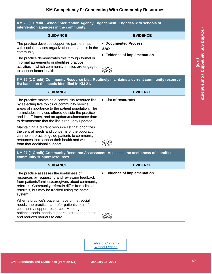#### <span id="page-31-0"></span>**KM 25 (1 Credit) School/Intervention Agency Engagement: Engages with schools or intervention agencies in the community.**

| <b>GUIDANCE</b>                                                                                                                                                                                                                                                                                          | <b>EVIDENCE</b>                                                         |
|----------------------------------------------------------------------------------------------------------------------------------------------------------------------------------------------------------------------------------------------------------------------------------------------------------|-------------------------------------------------------------------------|
| The practice develops supportive partnerships<br>with social services organizations or schools in the<br>community.<br>The practice demonstrates this through formal or<br>informal agreements or identifies practice<br>activities in which community entities are engaged<br>to support better health. | <b>Documented Process</b><br><b>AND</b><br>• Evidence of implementation |

<span id="page-31-1"></span>**KM 26 (1 Credit) Community Resource List: Routinely maintains a current community resource list based on the needs identified in KM 21.**

| <b>GUIDANCE</b>                                                                                                                                                                                                                                                                                                            | <b>EVIDENCE</b>     |
|----------------------------------------------------------------------------------------------------------------------------------------------------------------------------------------------------------------------------------------------------------------------------------------------------------------------------|---------------------|
| The practice maintains a community resource list<br>by selecting five topics or community service<br>areas of importance to the patient population. The<br>list includes services offered outside the practice<br>and its affiliates, and an update/maintenance date<br>to demonstrate that the list is regularly updated. | • List of resources |
| Maintaining a current resource list that prioritizes<br>the central needs and concerns of the population<br>can help a practice guide patients to community<br>resources that support their health and well-being<br>from that additional support.                                                                         |                     |

<span id="page-31-2"></span>**KM 27 (1 Credit) Community Resource Assessment: Assesses the usefulness of identified community support resources.**

| <b>GUIDANCE</b>                                                                                                                                                                                                                                                  | <b>EVIDENCE</b>              |
|------------------------------------------------------------------------------------------------------------------------------------------------------------------------------------------------------------------------------------------------------------------|------------------------------|
| The practice assesses the usefulness of<br>resources by requesting and reviewing feedback<br>from patients/families/caregivers about community<br>referrals. Community referrals differ from clinical<br>referrals, but may be tracked using the same<br>system. | • Evidence of implementation |
| When a practice's patients have unmet social<br>needs, the practice can refer patients to useful<br>community support resources. Meeting the<br>patient's social needs supports self-management<br>and reduces barriers to care.                                 |                              |



from that additional support.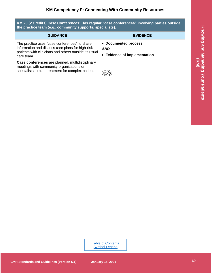<span id="page-32-0"></span>**KM 28 (2 Credits) Case Conferences: Has regular "case conferences" involving parties outside the practice team (e.g., community supports, specialists).**

| <b>GUIDANCE</b>                                                                                                                                                          | <b>EVIDENCE</b>                                                    |
|--------------------------------------------------------------------------------------------------------------------------------------------------------------------------|--------------------------------------------------------------------|
| The practice uses "case conferences" to share<br>information and discuss care plans for high-risk<br>patients with clinicians and others outside its usual<br>care team. | • Documented process<br><b>AND</b><br>• Evidence of implementation |
| Case conferences are planned, multidisciplinary<br>meetings with community organizations or<br>specialists to plan treatment for complex patients.                       |                                                                    |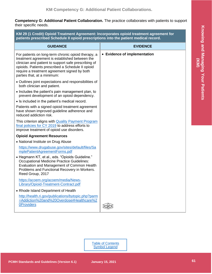<span id="page-33-0"></span>**Competency G: Additional Patient Collaboration.** The practice collaborates with patients to support their specific needs.

<span id="page-33-1"></span>**KM 29 (1 Credit) Opioid Treatment Agreement: Incorporates opioid treatment agreement for patients prescribed Schedule II opioid prescriptions into the patient medical record.**

| <b>GUIDANCE</b>                                                                                                                                                                                                                                                                                   | <b>EVIDENCE</b>              |
|---------------------------------------------------------------------------------------------------------------------------------------------------------------------------------------------------------------------------------------------------------------------------------------------------|------------------------------|
| For patients on long-term chronic opioid therapy, a<br>treatment agreement is established between the<br>clinician and patient to support safe prescribing of<br>opioids. Patients prescribed a Schedule II opioid<br>require a treatment agreement signed by both<br>parties that, at a minimum: | • Evidence of implementation |
| • Outlines joint expectations and responsibilities of<br>both clinician and patient.                                                                                                                                                                                                              |                              |
| • Includes the patient's pain management plan, to<br>prevent development of an opioid dependency.                                                                                                                                                                                                 |                              |
| • Is included in the patient's medical record.                                                                                                                                                                                                                                                    |                              |
| Patients with a signed opioid treatment agreement<br>have shown improved guideline adherence and<br>reduced addiction risk.                                                                                                                                                                       |                              |
| This criterion aligns with <b>Quality Payment Program</b><br>final policies for CY 2019 to address efforts to<br>improve treatment of opioid use disorders.                                                                                                                                       |                              |
| <b>Opioid Agreement Resources</b>                                                                                                                                                                                                                                                                 |                              |
| • National Institute on Drug Abuse                                                                                                                                                                                                                                                                |                              |
| https://www.drugabuse.gov/sites/default/files/Sa<br>mplePatientAgreementForms.pdf                                                                                                                                                                                                                 |                              |
| • Hegmann KT, et al., eds. "Opioids Guideline."<br><b>Occupational Medicine Practice Guidelines:</b><br>Evaluation and Management of Common Health<br>Problems and Functional Recovery in Workers.<br>Reed Group, 2017                                                                            |                              |
| https://acoem.org/acoem/media/News-<br>Library/Opioid-Treatment-Contract.pdf                                                                                                                                                                                                                      |                              |
| • Rhode Island Department of Health                                                                                                                                                                                                                                                               |                              |
| http://health.ri.gov/publications/bytopic.php?parm<br>=Addiction%20and%20Overdose#Healthcare%2<br><b>OProviders</b>                                                                                                                                                                               |                              |

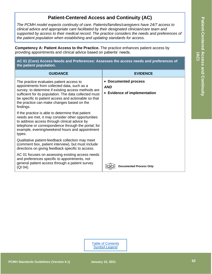## **Patient-Centered Access and Continuity (AC)**

<span id="page-34-0"></span>*The PCMH model expects continuity of care. Patients/families/caregivers have 24/7 access to clinical advice and appropriate care facilitated by their designated clinician/care team and supported by access to their medical record. The practice considers the needs and preferences of the patient population when establishing and updating standards for access.*

<span id="page-34-1"></span>**Competency A: Patient Access to the Practice.** The practice enhances patient access by providing appointments and clinical advice based on patients' needs.

<span id="page-34-2"></span>**AC 01 (Core) Access Needs and Preferences: Assesses the access needs and preferences of the patient population.**

| <b>GUIDANCE</b>                                                                                                                                                                                                                                                                                                             | <b>EVIDENCE</b>                                                         |
|-----------------------------------------------------------------------------------------------------------------------------------------------------------------------------------------------------------------------------------------------------------------------------------------------------------------------------|-------------------------------------------------------------------------|
| The practice evaluates patient access to<br>appointments from collected data, such as a<br>survey, to determine if existing access methods are<br>sufficient for its population. The data collected must<br>be specific to patient access and actionable so that<br>the practice can make changes based on the<br>findings. | <b>Documented process</b><br><b>AND</b><br>• Evidence of implementation |
| If the practice is able to determine that patient<br>needs are met, it may consider other opportunities<br>to address access through clinical advice by<br>telephone or correspondence through the portal; for<br>example, evening/weekend hours and appointment<br>types.                                                  |                                                                         |
| Qualitative patient-feedback collection may meet<br>(comment box, patient interview), but must include<br>directions on giving feedback specific to access.                                                                                                                                                                 |                                                                         |
| AC 01 focuses on assessing existing access needs<br>and preferences specific to appointments, not<br>general patient access through a patient survey<br>(QI 04).                                                                                                                                                            | <b>Documented Process Only</b>                                          |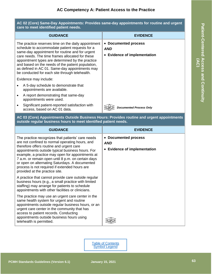| care to meet identified patient needs. |                                                                                                                                                                                                                                                                                                                                                                                                                          |                                                                                                        |
|----------------------------------------|--------------------------------------------------------------------------------------------------------------------------------------------------------------------------------------------------------------------------------------------------------------------------------------------------------------------------------------------------------------------------------------------------------------------------|--------------------------------------------------------------------------------------------------------|
|                                        | <b>GUIDANCE</b>                                                                                                                                                                                                                                                                                                                                                                                                          | <b>EVIDENCE</b>                                                                                        |
|                                        | The practice reserves time on the daily appointment<br>schedule to accommodate patient requests for a<br>same-day appointment for routine and for urgent<br>care needs. The time frames allocated for these<br>appointment types are determined by the practice<br>and based on the needs of the patient population,<br>as defined in AC 01. Same-day appointments may<br>be conducted for each site through telehealth. | <b>Documented process</b><br>$\bullet$<br><b>AND</b><br><b>Evidence of implementation</b><br>$\bullet$ |
|                                        | Evidence may include:                                                                                                                                                                                                                                                                                                                                                                                                    |                                                                                                        |
|                                        | A 5-day schedule to demonstrate that<br>appointments are available.                                                                                                                                                                                                                                                                                                                                                      |                                                                                                        |
|                                        | A report demonstrating that same-day<br>appointments were used.                                                                                                                                                                                                                                                                                                                                                          |                                                                                                        |
|                                        | Significant patient-reported satisfaction with<br>access, based on AC 01 data.                                                                                                                                                                                                                                                                                                                                           | <b>Documented Process Only</b>                                                                         |

#### <span id="page-35-0"></span>**AC 02 (Core) Same-Day Appointments: Provides same-day appointments for routine and urgent care to meet identified patient needs.**

**AC 03 (Core) Appointments Outside Business Hours: Provides routine and urgent appointments outside regular business hours to meet identified patient needs.**

| <b>GUIDANCE</b>                                                                                                                                                                                                                                                                                                                                                                                                                                     | <b>EVIDENCE</b>                                                                      |
|-----------------------------------------------------------------------------------------------------------------------------------------------------------------------------------------------------------------------------------------------------------------------------------------------------------------------------------------------------------------------------------------------------------------------------------------------------|--------------------------------------------------------------------------------------|
| The practice recognizes that patients' care needs<br>are not confined to normal operating hours, and<br>therefore offers routine and urgent care<br>appointments outside typical business hours. For<br>example, a practice may open for appointments at<br>7 a.m. or remain open until 8 p.m. on certain days<br>or open on alternating Saturdays. A documented<br>process is not required if extended hours are<br>provided at the practice site. | • Documented process<br><b>AND</b><br><b>Evidence of implementation</b><br>$\bullet$ |
| A practice that cannot provide care outside regular<br>business hours (e.g., a small practice with limited<br>staffing) may arrange for patients to schedule<br>appointments with other facilities or clinicians.                                                                                                                                                                                                                                   |                                                                                      |
| The practice may use an urgent care center in the<br>same health system for urgent and routine<br>appointments outside regular business hours, or an<br>urgent care center in the community that has<br>access to patient records. Conducting<br>appointments outside business hours using<br>telehealth is permitted.                                                                                                                              |                                                                                      |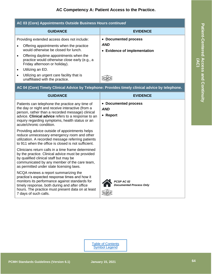## **AC Competency A: Patient Access to the Practice.**

<span id="page-36-0"></span>

| AC 03 (Core) Appointments Outside Business Hours continued                                                                                                                                                                                                              |                                                                                      |
|-------------------------------------------------------------------------------------------------------------------------------------------------------------------------------------------------------------------------------------------------------------------------|--------------------------------------------------------------------------------------|
| <b>GUIDANCE</b>                                                                                                                                                                                                                                                         | <b>EVIDENCE</b>                                                                      |
| Providing extended access does not include:<br>Offering appointments when the practice<br>would otherwise be closed for lunch.<br>Offering daytime appointments when the<br>$\bullet$<br>practice would otherwise close early (e.g., a<br>Friday afternoon or holiday). | • Documented process<br><b>AND</b><br><b>Evidence of implementation</b><br>$\bullet$ |
| Utilizing an ED.<br>$\bullet$<br>Utilizing an urgent care facility that is<br>unaffiliated with the practice.                                                                                                                                                           |                                                                                      |
| AC 04 (Core) Timely Clinical Advice by Telephone: Provides timely clinical advice by telephone.                                                                                                                                                                         |                                                                                      |
| <b>GUIDANCE</b>                                                                                                                                                                                                                                                         | <b>EVIDENCE</b>                                                                      |
| Patients can telephone the practice any time of                                                                                                                                                                                                                         | Documented process                                                                   |

<span id="page-36-1"></span>Patients can telephone the practice any time of the day or night and receive interactive (from a person, rather than a recorded message) clinical advice. **Clinical advice** refers to a response to an inquiry regarding symptoms, health status or an acute/chronic condition.

Providing advice outside of appointments helps reduce unnecessary emergency room and other utilization. A recorded message referring patients to 911 when the office is closed is not sufficient.

Clinicians return calls in a time frame determined by the practice. Clinical advice must be provided by qualified clinical staff but may be communicated by any member of the care team, as permitted under state licensing laws.

NCQA reviews a report summarizing the practice's expected response times and how it monitors its performance against standards for timely response, both during and after office hours. The practice must present data on at least 7 days of such calls.

• **Documented process**

*AND*

• **Report**



*PCSP AC 02 Documented Process Only*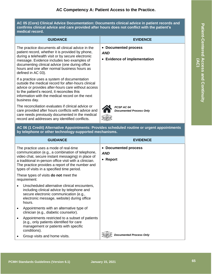## **AC Competency A: Patient Access to the Practice.**

<span id="page-37-0"></span>**AC 05 (Core) Clinical Advice Documentation: Documents clinical advice in patient records and confirms clinical advice and care provided after hours does not conflict with the patient's medical record.**

| <b>GUIDANCE</b>                                                                                                                                                                                                                                                                                                                  | <b>EVIDENCE</b>                                                                      |  |
|----------------------------------------------------------------------------------------------------------------------------------------------------------------------------------------------------------------------------------------------------------------------------------------------------------------------------------|--------------------------------------------------------------------------------------|--|
| The practice documents all clinical advice in the<br>patient record, whether it is provided by phone,<br>during a telehealth visit or by secure electronic<br>message. Evidence includes two examples of<br>documenting clinical advice (one during office<br>hours and one after normal business hours as<br>defined in AC 03). | • Documented process<br><b>AND</b><br><b>Evidence of implementation</b><br>$\bullet$ |  |
| If a practice uses a system of documentation<br>outside the medical record for after-hours clinical<br>advice or provides after-hours care without access<br>to the patient's record, it reconciles this<br>information with the medical record on the next<br>business day.                                                     |                                                                                      |  |
| The reconciliation evaluates if clinical advice or<br>care provided after hours conflicts with advice and<br>care needs previously documented in the medical<br>record and addresses any identified conflicts.                                                                                                                   | PCSP AC 04<br><b>Documented Process Only</b>                                         |  |

<span id="page-37-1"></span>**AC 06 (1 Credit) Alternative Appointments: Provides scheduled routine or urgent appointments by telephone or other technology-supported mechanisms.**

| <b>GUIDANCE</b>                                                                                                                                                                                                                                                                                             | <b>EVIDENCE</b>                                        |
|-------------------------------------------------------------------------------------------------------------------------------------------------------------------------------------------------------------------------------------------------------------------------------------------------------------|--------------------------------------------------------|
| The practice uses a mode of real-time<br>communication (e.g., a combination of telephone,<br>video chat, secure instant messaging) in place of<br>a traditional in-person office visit with a clinician.<br>The practice provides a report of the number and<br>types of visits in a specified time period. | • Documented process<br><b>AND</b><br>$\bullet$ Report |
| These types of visits <b>do not</b> meet the<br>requirement:                                                                                                                                                                                                                                                |                                                        |
| Unscheduled alternative clinical encounters,<br>including clinical advice by telephone and<br>secure electronic communication (e.g.,<br>electronic message, website) during office<br>hours.                                                                                                                |                                                        |
| Appointments with an alternative type of<br>clinician (e.g., diabetic counselor).                                                                                                                                                                                                                           |                                                        |
| Appointments restricted to a subset of patients<br>(e.g., only patients identified for care<br>management or patients with specific<br>conditions).                                                                                                                                                         |                                                        |
| Group visits and home visits.                                                                                                                                                                                                                                                                               | Documented Process Only                                |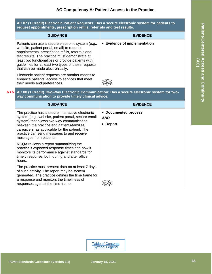<span id="page-38-0"></span>**AC 07 (1 Credit) Electronic Patient Requests: Has a secure electronic system for patients to request appointments, prescription refills, referrals and test results.**

| <b>GUIDANCE</b>                                                                                                                                                                                                                                                                                                                                          | <b>EVIDENCE</b>              |
|----------------------------------------------------------------------------------------------------------------------------------------------------------------------------------------------------------------------------------------------------------------------------------------------------------------------------------------------------------|------------------------------|
| Patients can use a secure electronic system (e.g.,<br>website, patient portal, email) to request<br>appointments, prescription refills, referrals and<br>test results. The practice must demonstrate at<br>least two functionalities or provide patients with<br>guidelines for at least two types of these requests<br>that can be made electronically. | • Evidence of implementation |
| Electronic patient requests are another means to<br>enhance patients' access to services that meet<br>their needs and preferences.                                                                                                                                                                                                                       |                              |

#### <span id="page-38-1"></span>**AC 08 (1 Credit) Two-Way Electronic Communication: Has a secure electronic system for twoway communication to provide timely clinical advice. NYS**

| <b>GUIDANCE</b>                                                                                                                                                                                                                                                                                                                | <b>EVIDENCE</b>                                |
|--------------------------------------------------------------------------------------------------------------------------------------------------------------------------------------------------------------------------------------------------------------------------------------------------------------------------------|------------------------------------------------|
| The practice has a secure, interactive electronic<br>system (e.g., website, patient portal, secure email<br>system) that allows two-way communication<br>between the practice and patients/families/<br>caregivers, as applicable for the patient. The<br>practice can send messages to and receive<br>messages from patients. | • Documented process<br><b>AND</b><br>• Report |
| NCQA reviews a report summarizing the<br>practice's expected response times and how it<br>monitors its performance against standards for<br>timely response, both during and after office<br>hours.                                                                                                                            |                                                |
| The practice must present data on at least 7 days<br>of such activity. The report may be system<br>generated. The practice defines the time frame for<br>a response and monitors the timeliness of<br>responses against the time frame.                                                                                        |                                                |

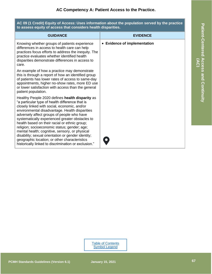<span id="page-39-0"></span>**AC 09 (1 Credit) Equity of Access: Uses information about the population served by the practice to assess equity of access that considers health disparities.**

| <b>GUIDANCE</b>                                                                                                                                                                                                                                                                                                                                                                                                                                                                                                                                                                                                         | <b>EVIDENCE</b>              |
|-------------------------------------------------------------------------------------------------------------------------------------------------------------------------------------------------------------------------------------------------------------------------------------------------------------------------------------------------------------------------------------------------------------------------------------------------------------------------------------------------------------------------------------------------------------------------------------------------------------------------|------------------------------|
| Knowing whether groups of patients experience<br>differences in access to health care can help<br>practices focus efforts to address the inequity. The<br>practice evaluates whether identified health<br>disparities demonstrate differences in access to<br>care.                                                                                                                                                                                                                                                                                                                                                     | • Evidence of implementation |
| An example of how a practice may demonstrate<br>this is through a report of how an identified group<br>of patients has lower rates of access to same-day<br>appointments, higher no-show rates, more ED use<br>or lower satisfaction with access than the general<br>patient population.                                                                                                                                                                                                                                                                                                                                |                              |
| Healthy People 2020 defines health disparity as<br>"a particular type of health difference that is<br>closely linked with social, economic, and/or<br>environmental disadvantage. Health disparities<br>adversely affect groups of people who have<br>systematically experienced greater obstacles to<br>health based on their racial or ethnic group;<br>religion; socioeconomic status; gender; age;<br>mental health; cognitive, sensory, or physical<br>disability; sexual orientation or gender identity;<br>geographic location; or other characteristics<br>historically linked to discrimination or exclusion." |                              |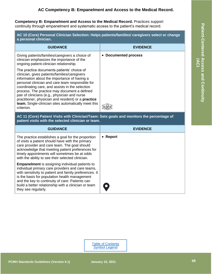<span id="page-40-0"></span>**Competency B: Empanelment and Access to the Medical Record.** Practices support continuity through empanelment and systematic access to the patient's medical record.

<span id="page-40-1"></span>**AC 10 (Core) Personal Clinician Selection: Helps patients/families/ caregivers select or change a personal clinician.**

| <b>GUIDANCE</b>                                                                                                                                                                                                                                                                                                                                                                                                                                                                         | <b>EVIDENCE</b>      |
|-----------------------------------------------------------------------------------------------------------------------------------------------------------------------------------------------------------------------------------------------------------------------------------------------------------------------------------------------------------------------------------------------------------------------------------------------------------------------------------------|----------------------|
| Giving patients/families/caregivers a choice of<br>clinician emphasizes the importance of the<br>ongoing patient-clinician relationship.                                                                                                                                                                                                                                                                                                                                                | • Documented process |
| The practice documents patients' choice of<br>clinician, gives patients/families/caregivers<br>information about the importance of having a<br>personal clinician and care team responsible for<br>coordinating care, and assists in the selection<br>process. The practice may document a defined<br>pair of clinicians (e.g., physician and nurse<br>practitioner, physician and resident) or a <b>practice</b><br>team. Single-clinician sites automatically meet this<br>criterion. |                      |

<span id="page-40-2"></span>**AC 11 (Core) Patient Visits with Clinician/Team: Sets goals and monitors the percentage of patient visits with the selected clinician or team.**

| <b>GUIDANCE</b>                                                                                                                                                                                                                                                                                                                                          | <b>EVIDENCE</b> |
|----------------------------------------------------------------------------------------------------------------------------------------------------------------------------------------------------------------------------------------------------------------------------------------------------------------------------------------------------------|-----------------|
| The practice establishes a goal for the proportion<br>of visits a patient should have with the primary<br>care provider and care team. The goal should<br>acknowledge that meeting patient preferences for<br>timely appointments will sometimes be at odds<br>with the ability to see their selected clinician.                                         | • Report        |
| <b>Empanelment</b> is assigning individual patients to<br>individual primary care providers and care teams,<br>with sensitivity to patient and family preferences. It<br>is the basis for population health management<br>and the key to continuity of care: Patients can<br>build a better relationship with a clinician or team<br>they see regularly. | $\bullet$       |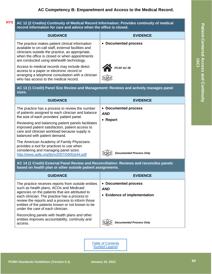#### <span id="page-41-0"></span>**AC 12 (2 Credits) Continuity of Medical Record Information: Provides continuity of medical record information for care and advice when the office is closed. NYS**

| <b>GUIDANCE</b>                                                                                                                                                                                                                                            | <b>EVIDENCE</b>      |
|------------------------------------------------------------------------------------------------------------------------------------------------------------------------------------------------------------------------------------------------------------|----------------------|
| The practice makes patient clinical information<br>available to on-call staff, external facilities and<br>clinicians outside the practice, as appropriate,<br>when the office is closed or when appointments<br>are conducted using telehealth technology. | • Documented process |
| Access to medical records may include direct<br>access to a paper or electronic record or<br>arranging a telephone consultation with a clinician<br>who has access to the medical record.                                                                  | PCSP AC 05           |

<span id="page-41-1"></span>**AC 13 (1 Credit) Panel Size Review and Management: Reviews and actively manages panel sizes.**

| <b>GUIDANCE</b>                                                                                                                                                                          | <b>EVIDENCE</b>                    |
|------------------------------------------------------------------------------------------------------------------------------------------------------------------------------------------|------------------------------------|
| The practice has a process to review the number<br>of patients assigned to each clinician and balance<br>the size of each providers' patient panel.                                      | • Documented process<br><b>AND</b> |
| Reviewing and balancing patient panels facilitates<br>improved patient satisfaction, patient access to<br>care and clinician workload because supply is<br>balanced with patient demand. | <b>Report</b>                      |
| The American Academy of Family Physicians<br>provides a tool for practices to use when<br>considering and managing panel sizes:<br>http://www.aafp.org/fpm/2007/0400/p44.pdf             | <b>Documented Process Only</b>     |

<span id="page-41-2"></span>**AC 14 (1 Credit) External Panel Review and Reconciliation: Reviews and reconciles panels based on health plan or other outside patient assignments.**

| <b>GUIDANCE</b>                                                                                                                                                                                                                                                                                                                                  | <b>EVIDENCE</b>                                                    |
|--------------------------------------------------------------------------------------------------------------------------------------------------------------------------------------------------------------------------------------------------------------------------------------------------------------------------------------------------|--------------------------------------------------------------------|
| The practice receives reports from outside entities<br>such as health plans, ACOs and Medicaid<br>agencies on the patients that are attributed to<br>each clinician. The practice has a process to<br>review the reports and a process to inform those<br>entities of the patients known or not known to be<br>under the care of each clinician. | • Documented process<br><b>AND</b><br>• Evidence of implementation |
| Reconciling panels with health plans and other<br>entities improves accountability, continuity and<br>access.                                                                                                                                                                                                                                    | <b>Documented Process Only</b>                                     |

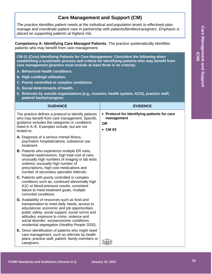## **Care Management and Support (CM)**

<span id="page-42-0"></span>*The practice identifies patient needs at the individual and population levels to effectively plan, manage and coordinate patient care in partnership with patients/families/caregivers. Emphasis is placed on supporting patients at highest risk.*

<span id="page-42-1"></span>**Competency A: Identifying Care Managed Patients.** The practice systematically identifies patients who may benefit from care management.

<span id="page-42-2"></span>**CM 01 (Core) Identifying Patients for Care Management: Considers the following when establishing a systematic process and criteria for identifying patients who may benefit from care management (practice must include at least three in its criteria):**

- **A. Behavioral health conditions.**
- **B. High cost/high utilization.**
- **C. Poorly controlled or complex conditions.**
- **D. Social determinants of health.**
- **E. Referrals by outside organizations (e.g., insurers, health system, ACO), practice staff, patient/ family/caregiver.**

| <b>GUIDANCE</b>                                                                                                                                                                                                                                                                                                                                 | <b>EVIDENCE</b>                                                                            |
|-------------------------------------------------------------------------------------------------------------------------------------------------------------------------------------------------------------------------------------------------------------------------------------------------------------------------------------------------|--------------------------------------------------------------------------------------------|
| The practice defines a protocol to identify patients<br>who may benefit from care management. Specific<br>guidance includes the categories or conditions<br>listed in A-E. Examples include, but are not<br>limited to:                                                                                                                         | • Protocol for identifying patients for care<br>management<br><b>OR</b><br>$\bullet$ CM 03 |
| A. Diagnosis of a serious mental illness,<br>psychiatric hospitalizations, substance use<br>treatment.                                                                                                                                                                                                                                          |                                                                                            |
| <b>B.</b> Patients who experience multiple ER visits,<br>hospital readmissions, high total cost of care,<br>unusually high numbers of imaging or lab tests<br>ordered, unusually high number of<br>prescriptions, high-cost medications and<br>number of secondary specialist referrals.                                                        |                                                                                            |
| C. Patients with poorly controlled or complex<br>conditions such as, continued abnormally high<br>A1C or blood pressure results, consistent<br>failure to meet treatment goals, multiple<br>comorbid conditions.                                                                                                                                |                                                                                            |
| D. Availability of resources such as food and<br>transportation to meet daily needs; access to<br>educational, economic and job opportunities;<br>public safety; social support; social norms and<br>attitudes; exposure to crime, violence and<br>social disorder; socioeconomic conditions;<br>residential segregation (Healthy People 2020). |                                                                                            |
| E. Direct identification of patients who might need<br>care management, such as referrals by health<br>plans, practice staff, patient, family members or<br>caregivers.                                                                                                                                                                         |                                                                                            |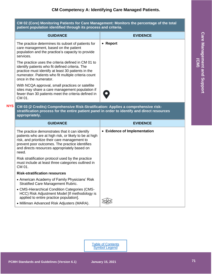## **CM Competency A: Identifying Care Managed Patients.**

<span id="page-43-0"></span>**CM 02 (Core) Monitoring Patients for Care Management: Monitors the percentage of the total patient population identified through its process and criteria.**

| <b>GUIDANCE</b>                                                                                                                                                                                                                              | <b>EVIDENCE</b> |
|----------------------------------------------------------------------------------------------------------------------------------------------------------------------------------------------------------------------------------------------|-----------------|
| The practice determines its subset of patients for<br>care management, based on the patient<br>population and the practice's capacity to provide<br>services.                                                                                | • Report        |
| The practice uses the criteria defined in CM 01 to<br>identify patients who fit defined criteria. The<br>practice must identify at least 30 patients in the<br>numerator. Patients who fit multiple criteria count<br>once in the numerator. |                 |
| With NCQA approval, small practices or satellite<br>sites may share a care management population if<br>fewer than 30 patients meet the criteria defined in<br>CM 01.                                                                         | $\bullet$       |

<span id="page-43-1"></span>**CM 03 (2 Credits) Comprehensive Risk-Stratification: Applies a comprehensive riskstratification process for the entire patient panel in order to identify and direct resources appropriately. NYS**

| <b>GUIDANCE</b>                                                                                                                                                                                                                                                      | <b>EVIDENCE</b>              |
|----------------------------------------------------------------------------------------------------------------------------------------------------------------------------------------------------------------------------------------------------------------------|------------------------------|
| The practice demonstrates that it can identify<br>patients who are at high risk, or likely to be at high<br>risk, and prioritize their care management to<br>prevent poor outcomes. The practice identifies<br>and directs resources appropriately based on<br>need. | • Evidence of Implementation |
| Risk stratification protocol used by the practice<br>must include at least three categories outlined in<br>CM 01.                                                                                                                                                    |                              |
| <b>Risk-stratification resources</b>                                                                                                                                                                                                                                 |                              |
| • American Academy of Family Physicians' Risk<br><b>Stratified Care Management Rubric.</b>                                                                                                                                                                           |                              |
| • CMS-Hierarchical Condition Categories (CMS-<br>HCC) Risk Adjustment Model [If methodology is<br>applied to entire practice population].                                                                                                                            |                              |
| • Milliman Advanced Risk Adjusters (MARA).                                                                                                                                                                                                                           |                              |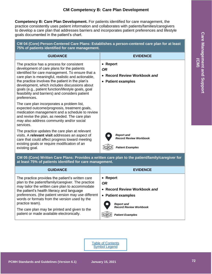<span id="page-44-0"></span>**Competency B: Care Plan Development.** For patients identified for care management, the practice consistently uses patient information and collaborates with patients/families/caregivers to develop a care plan that addresses barriers and incorporates patient preferences and lifestyle goals documented in the patient's chart.

<span id="page-44-1"></span>**CM 04 (Core) Person-Centered Care Plans: Establishes a person-centered care plan for at least 75% of patients identified for care management.**

| <b>GUIDANCE</b>                                                                                                                                                                                                                                                                                                                                                                                                                 | <b>EVIDENCE</b>                                                               |
|---------------------------------------------------------------------------------------------------------------------------------------------------------------------------------------------------------------------------------------------------------------------------------------------------------------------------------------------------------------------------------------------------------------------------------|-------------------------------------------------------------------------------|
| The practice has a process for consistent<br>development of care plans for the patients<br>identified for care management. To ensure that a<br>care plan is meaningful, realistic and actionable,<br>the practice involves the patient in the plan's<br>development, which includes discussions about<br>goals (e.g., patient function/lifestyle goals, goal<br>feasibility and barriers) and considers patient<br>preferences. | • Report<br><b>OR</b><br>• Record Review Workbook and<br>• Patient examples   |
| The care plan incorporates a problem list,<br>expected outcome/prognosis, treatment goals,<br>medication management and a schedule to review<br>and revise the plan, as needed. The care plan<br>may also address community and/or social<br>services.                                                                                                                                                                          |                                                                               |
| The practice updates the care plan at relevant<br>visits. A relevant visit addresses an aspect of<br>care that could affect progress toward meeting<br>existing goals or require modification of an<br>existing goal.                                                                                                                                                                                                           | <b>Report and</b><br><b>Record Review Workbook</b><br><b>Patient Examples</b> |
| CM 05 (Core) Written Care Plans: Provides a written care plan to the patient/family/caregiver for<br>at least 75% of patients identified for care management.                                                                                                                                                                                                                                                                   |                                                                               |

<span id="page-44-2"></span>

| <b>GUIDANCE</b>                                                                                                                                                                                                                                                                                                                                                                     | <b>EVIDENCE</b>                                                             |
|-------------------------------------------------------------------------------------------------------------------------------------------------------------------------------------------------------------------------------------------------------------------------------------------------------------------------------------------------------------------------------------|-----------------------------------------------------------------------------|
| The practice provides the patient's written care<br>plan to the patient/family/caregiver. The practice<br>may tailor the written care plan to accommodate<br>the patient's health literacy and language<br>preferences. (the patient version may use different<br>words or formats from the version used by the<br>practice team).<br>The care plan may be printed and given to the | • Report<br><b>OR</b><br>• Record Review Workbook and<br>• Patient examples |
|                                                                                                                                                                                                                                                                                                                                                                                     | <b>Report and</b><br><b>Record Review Workbook</b>                          |
| patient or made available electronically.                                                                                                                                                                                                                                                                                                                                           | <b>Patient Examples</b>                                                     |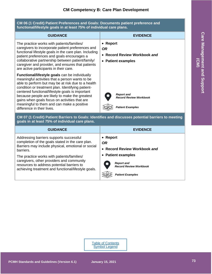## **CM Competency B: Care Plan Development**

<span id="page-45-0"></span>**CM 06 (1 Credit) Patient Preferences and Goals: Documents patient preference and functional/lifestyle goals in at least 75% of individual care plans. GUIDANCE EVIDENCE** The practice works with patients/families/ caregivers to incorporate patient preferences and functional lifestyle goals in the care plan. Including patient preferences and goals encourages a collaborative partnership between patient/family/ caregiver and provider, and ensures that patients are active participants in their care. **Functional/lifestyle goals** can be individually meaningful activities that a person wants to be able to perform but may be at risk due to a health condition or treatment plan. Identifying patientcentered functional/lifestyle goals is important because people are likely to make the greatest gains when goals focus on activities that are meaningful to them and can make a positive difference in their lives. • **Report**  *OR* • **Record Review Workbook** *and* • **Patient examples** *Report and Record Review Workbook Patient Examples*

#### <span id="page-45-1"></span>**CM 07 (1 Credit) Patient Barriers to Goals: Identifies and discusses potential barriers to meeting goals in at least 75% of individual care plans.**

| <b>GUIDANCE</b>                                                                                                                                                                              | <b>EVIDENCE</b>                                                          |
|----------------------------------------------------------------------------------------------------------------------------------------------------------------------------------------------|--------------------------------------------------------------------------|
| Addressing barriers supports successful<br>completion of the goals stated in the care plan.<br>Barriers may include physical, emotional or social<br>barriers.                               | • Report<br><b>OR</b><br>• Record Review Workbook and                    |
| The practice works with patients/families/<br>caregivers, other providers and community<br>resources to address potential barriers to<br>achieving treatment and functional/lifestyle goals. | • Patient examples<br><b>Report and</b><br><b>Record Review Workbook</b> |
|                                                                                                                                                                                              | <b>Patient Examples</b>                                                  |

**Care Management and Support Care Management and Support (CM)**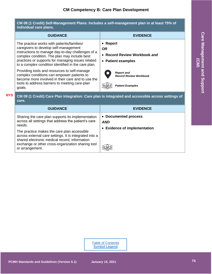<span id="page-46-0"></span>

| <b>GUIDANCE</b>                                                                                                                                                                                                                                                                                                                                                                                                                                                                                                     | <b>EVIDENCE</b>                                                                                                                                              |
|---------------------------------------------------------------------------------------------------------------------------------------------------------------------------------------------------------------------------------------------------------------------------------------------------------------------------------------------------------------------------------------------------------------------------------------------------------------------------------------------------------------------|--------------------------------------------------------------------------------------------------------------------------------------------------------------|
| The practice works with patients/families/<br>caregivers to develop self-management<br>instructions to manage day-to-day challenges of a<br>complex condition. The plan may include best<br>practices or supports for managing issues related<br>to a complex condition identified in the care plan.<br>Providing tools and resources to self-manage<br>complex conditions can empower patients to<br>become more involved in their care and to use the<br>tools to address barriers to meeting care-plan<br>goals. | • Report<br><b>OR</b><br>• Record Review Workbook and<br>• Patient examples<br><b>Report and</b><br><b>Record Review Workbook</b><br><b>Patient Examples</b> |
| care.<br><b>GUIDANCE</b>                                                                                                                                                                                                                                                                                                                                                                                                                                                                                            | CM 09 (1 Credit) Care Plan Integration: Care plan is integrated and accessible across settings of                                                            |
|                                                                                                                                                                                                                                                                                                                                                                                                                                                                                                                     | <b>EVIDENCE</b>                                                                                                                                              |

<span id="page-46-1"></span>The practice makes the care plan accessible across external care settings. It is integrated into a shared electronic medical record, information exchange or other cross-organization sharing tool  $\left\{ \bigotimes_{i=1}^{n} a_i \right\}$ or arrangement.

# Care Management and Support **Care Management and Support (CM)**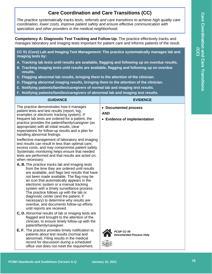## **Care Coordination and Care Transitions (CC)**

<span id="page-47-0"></span>*The practice systematically tracks tests, referrals and care transitions to achieve high quality care coordination, lower costs, improve patient safety and ensure effective communication with specialists and other providers in the medical neighborhood.*

<span id="page-47-1"></span>**Competency A: Diagnostic Test Tracking and Follow-Up.** The practice effectively tracks and manages laboratory and imaging tests important for patient care and informs patients of the result.

<span id="page-47-2"></span>**CC 01 (Core) Lab and Imaging Test Management: The practice systematically manages lab and imaging tests by:**

- **A. Tracking lab tests until results are available, flagging and following up on overdue results.**
- **B. Tracking imaging tests until results are available, flagging and following up on overdue results.**
- **C. Flagging abnormal lab results, bringing them to the attention of the clinician.**
- **D. Flagging abnormal imaging results, bringing them to the attention of the clinician.**
- **E. Notifying patients/families/caregivers of normal lab and imaging test results.**
- **F. Notifying patients/families/caregivers of abnormal lab and imaging test results.**

| <b>GUIDANCE</b>                                                                                                                                                                                                                                                                                                                                                                                                                                                                                                                                | <b>EVIDENCE</b>                                                    |
|------------------------------------------------------------------------------------------------------------------------------------------------------------------------------------------------------------------------------------------------------------------------------------------------------------------------------------------------------------------------------------------------------------------------------------------------------------------------------------------------------------------------------------------------|--------------------------------------------------------------------|
| The practice demonstrates how it manages<br>patient tests and test results (report, log,<br>examples or electronic tracking system). If<br>frequent lab tests are ordered for a patient, the<br>practice provides the patient/family/caregiver (as<br>appropriate) with all initial results, clear<br>expectations for follow-up results and a plan for<br>handling abnormal findings.                                                                                                                                                         | • Documented process<br><b>AND</b><br>• Evidence of implementation |
| Ineffective management of laboratory and imaging<br>test results can result in less than optimal care,<br>excess costs, and may compromise patient safety.<br>Systematic monitoring helps ensure that needed<br>tests are performed and that results are acted on,<br>when necessary.                                                                                                                                                                                                                                                          |                                                                    |
| A, B. The practice tracks lab and imaging tests<br>from the time they are ordered until results<br>are available, and flags test results that have<br>not been made available. The flag may be<br>an icon that automatically appears in the<br>electronic system or a manual tracking<br>system with a timely surveillance process.<br>The practice follows up with the lab or<br>diagnostic center (and the patient, if<br>necessary) to determine why results are<br>overdue, and documents follow-up efforts<br>until reports are received. |                                                                    |
| C, D. Abnormal results of lab or imaging tests are<br>flagged and brought to the attention of the<br>clinician, to ensure timely follow-up with the<br>patient/family/caregiver.                                                                                                                                                                                                                                                                                                                                                               |                                                                    |
| E, F. The practice provides timely notification to<br>patients about test results (normal and<br>abnormal). Filing results in the medical<br>record for discussion during a scheduled<br>office visit does not meet the requirement.                                                                                                                                                                                                                                                                                                           | PCSP CC 05<br><b>Documented Process Only</b>                       |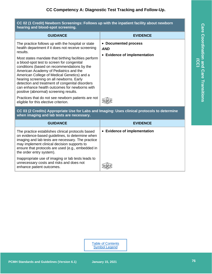#### <span id="page-48-0"></span>**CC 02 (1 Credit) Newborn Screenings: Follows up with the inpatient facility about newborn hearing and blood-spot screening.**

| <b>GUIDANCE</b>                                                                                                                                                                                                                                                                                                                                                                                                                                                                                                                                              | <b>EVIDENCE</b>                                                    |
|--------------------------------------------------------------------------------------------------------------------------------------------------------------------------------------------------------------------------------------------------------------------------------------------------------------------------------------------------------------------------------------------------------------------------------------------------------------------------------------------------------------------------------------------------------------|--------------------------------------------------------------------|
| The practice follows up with the hospital or state<br>health department if it does not receive screening<br>results.<br>Most states mandate that birthing facilities perform<br>a blood-spot test to screen for congenital<br>conditions (based on recommendations by the<br>American Academy of Pediatrics and the<br>American College of Medical Genetics) and a<br>hearing screening on all newborns. Early<br>detection and treatment of congenital disorders<br>can enhance health outcomes for newborns with<br>positive (abnormal) screening results. | • Documented process<br><b>AND</b><br>• Evidence of implementation |
| Practices that do not see newborn patients are not<br>eligible for this elective criterion.                                                                                                                                                                                                                                                                                                                                                                                                                                                                  |                                                                    |
| CC 03 (2 Credits) Appropriate Use for Labs and Imaging: Uses clinical protocols to determine<br>when imaging and lab tests are necessary.                                                                                                                                                                                                                                                                                                                                                                                                                    |                                                                    |

<span id="page-48-1"></span>

| <b>GUIDANCE</b>                                                                                                                                                                                                                                                                           | <b>EVIDENCE</b>              |
|-------------------------------------------------------------------------------------------------------------------------------------------------------------------------------------------------------------------------------------------------------------------------------------------|------------------------------|
| The practice establishes clinical protocols based<br>on evidence-based guidelines, to determine when<br>imaging and lab tests are necessary. The practice<br>may implement clinical decision supports to<br>ensure that protocols are used (e.g., embedded in<br>the order entry system). | • Evidence of implementation |
| Inappropriate use of imaging or lab tests leads to<br>unnecessary costs and risks and does not<br>enhance patient outcomes.                                                                                                                                                               |                              |

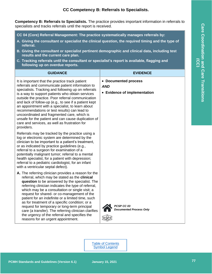<span id="page-49-0"></span>**Competency B: Referrals to Specialists.** The practice provides important information in referrals to specialists and tracks referrals until the report is received.

<span id="page-49-1"></span>**CC 04 (Core) Referral Management: The practice systematically manages referrals by:**

- **A. Giving the consultant or specialist the clinical question, the required timing and the type of referral.**
- **B. Giving the consultant or specialist pertinent demographic and clinical data, including test results and the current care plan.**
- **C. Tracking referrals until the consultant or specialist's report is available, flagging and following up on overdue reports.**

| <b>GUIDANCE</b>                                                                                                                                                                                                                                                                                                                                                                                                                                                                                                                                                                                                       | <b>EVIDENCE</b>                                                    |
|-----------------------------------------------------------------------------------------------------------------------------------------------------------------------------------------------------------------------------------------------------------------------------------------------------------------------------------------------------------------------------------------------------------------------------------------------------------------------------------------------------------------------------------------------------------------------------------------------------------------------|--------------------------------------------------------------------|
| It is important that the practice track patient<br>referrals and communicate patient information to<br>specialists. Tracking and following up on referrals<br>is a way to support patients who obtain services<br>outside the practice. Poor referral communication<br>and lack of follow-up (e.g., to see if a patient kept<br>an appointment with a specialist, to learn about<br>recommendations or test results) can lead to<br>uncoordinated and fragmented care, which is<br>unsafe for the patient and can cause duplication of<br>care and services, as well as frustration for<br>providers.                 | • Documented process<br><b>AND</b><br>• Evidence of implementation |
| Referrals may be tracked by the practice using a<br>log or electronic system are determined by the<br>clinician to be important to a patient's treatment,<br>or as indicated by practice guidelines (e.g.,<br>referral to a surgeon for examination of a<br>potentially malignant tumor; referral to a mental<br>health specialist, for a patient with depression;<br>referral to a pediatric cardiologist, for an infant<br>with a ventricular septal defect).                                                                                                                                                       |                                                                    |
| A. The referring clinician provides a reason for the<br>referral, which may be stated as the clinical<br>question to be answered by the specialist. The<br>referring clinician indicates the type of referral,<br>which may be a consultation or single visit; a<br>request for shared- or co-management of the<br>patient for an indefinite or a limited time, such<br>as for treatment of a specific condition; or a<br>request for temporary or long-term principal<br>care (a transfer). The referring clinician clarifies<br>the urgency of the referral and specifies the<br>reasons for an urgent appointment. | PCSP CC 03<br><b>Documented Process Only</b>                       |

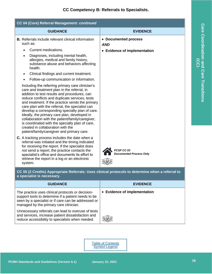| CC 04 (Core) Referral Management: continued                                                                                                                                                                                                                                                                                                                                                                                                                                                                                                                                                                                                 |                                              |
|---------------------------------------------------------------------------------------------------------------------------------------------------------------------------------------------------------------------------------------------------------------------------------------------------------------------------------------------------------------------------------------------------------------------------------------------------------------------------------------------------------------------------------------------------------------------------------------------------------------------------------------------|----------------------------------------------|
| <b>GUIDANCE</b>                                                                                                                                                                                                                                                                                                                                                                                                                                                                                                                                                                                                                             | <b>EVIDENCE</b>                              |
| <b>B.</b> Referrals include relevant clinical information<br>such as:                                                                                                                                                                                                                                                                                                                                                                                                                                                                                                                                                                       | • Documented process<br><b>AND</b>           |
| Current medications.<br>Diagnoses, including mental health,<br>$\bullet$<br>allergies, medical and family history,<br>substance abuse and behaviors affecting<br>health.<br>Clinical findings and current treatment.<br>$\bullet$<br>Follow-up communication or information.<br>Including the referring primary care clinician's<br>care and treatment plan in the referral, in<br>addition to test results and procedures, can<br>reduce conflicts and duplicate services, tests<br>and treatment. If the practice sends the primary<br>care plan with the referral, the specialist can<br>develop a corresponding specialty plan of care. | • Evidence of implementation                 |
| Ideally, the primary care plan, developed in<br>collaboration with the patient/family/caregiver,<br>is coordinated with the specialty plan of care,<br>created in collaboration with the<br>patient/family/caregiver and primary care.                                                                                                                                                                                                                                                                                                                                                                                                      |                                              |
| <b>C.</b> A tracking process includes the date when a<br>referral was initiated and the timing indicated<br>for receiving the report. If the specialist does<br>not send a report, the practice contacts the<br>specialist's office and documents its effort to<br>retrieve the report in a log or an electronic<br>system.                                                                                                                                                                                                                                                                                                                 | PCSP CC 03<br><b>Documented Process Only</b> |

<span id="page-50-0"></span>**CC 05 (2 Credits) Appropriate Referrals: Uses clinical protocols to determine when a referral to a specialist is necessary.**

| <b>GUIDANCE</b>                                                                                                                                                                                           | <b>EVIDENCE</b>              |
|-----------------------------------------------------------------------------------------------------------------------------------------------------------------------------------------------------------|------------------------------|
| The practice uses clinical protocols or decision-<br>support tools to determine if a patient needs to be<br>seen by a specialist or if care can be addressed or<br>managed by the primary care clinician. | • Evidence of implementation |
| Unnecessary referrals can lead to overuse of tests<br>and services, increase patient dissatisfaction and<br>reduce accessibility to specialists when needed.                                              |                              |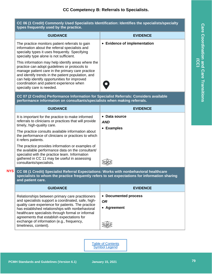#### <span id="page-51-0"></span>**CC 06 (1 Credit) Commonly Used Specialists Identification: Identifies the specialists/specialty types frequently used by the practice.**

| <b>GUIDANCE</b>                                                                                                                                                                                                                                                                                                                        | <b>EVIDENCE</b>              |
|----------------------------------------------------------------------------------------------------------------------------------------------------------------------------------------------------------------------------------------------------------------------------------------------------------------------------------------|------------------------------|
| The practice monitors patient referrals to gain<br>information about the referral specialists and<br>specialty types it uses frequently. Specifying<br>specialty type alone is not sufficient.                                                                                                                                         | • Evidence of implementation |
| This information may help identify areas where the<br>practice can adopt guidelines or protocols to<br>manage patient care in the primary care practice<br>and identify trends in the patient population, and<br>can help identify opportunities for improved<br>coordination and patient experience when<br>specialty care is needed. |                              |

<span id="page-51-1"></span>**CC 07 (2 Credits) Performance Information for Specialist Referrals: Considers available performance information on consultants/specialists when making referrals.**

| <b>GUIDANCE</b>                                                                                                                                                                                                                     | <b>EVIDENCE</b>                           |
|-------------------------------------------------------------------------------------------------------------------------------------------------------------------------------------------------------------------------------------|-------------------------------------------|
| It is important for the practice to make informed<br>referrals to clinicians or practices that will provide<br>timely, high-quality care.<br>The practice consults available information about                                      | • Data source<br><b>AND</b><br>• Examples |
| the performance of clinicians or practices to which<br>it refers patients.                                                                                                                                                          |                                           |
| The practice provides information or examples of<br>the available performance data on the consultant/<br>specialist with the practice team. Information<br>gathered in CC 11 may be useful in assessing<br>consultants/specialists. |                                           |

<span id="page-51-2"></span>**CC 08 (1 Credit) Specialist Referral Expectations: Works with nonbehavioral healthcare specialists to whom the practice frequently refers to set expectations for information sharing and patient care. NYS**

| <b>GUIDANCE</b>                                                                                                                                                                                                                                                                                                                                                                           | <b>EVIDENCE</b>                                  |
|-------------------------------------------------------------------------------------------------------------------------------------------------------------------------------------------------------------------------------------------------------------------------------------------------------------------------------------------------------------------------------------------|--------------------------------------------------|
| Relationships between primary care practitioners<br>and specialists support a coordinated, safe, high-<br>quality care experience for patients. The practice<br>has established relationships with nonbehavioral<br>healthcare specialists through formal or informal<br>agreements that establish expectations for<br>exchange of information (e.g., frequency,<br>timeliness, content). | • Documented process<br><b>OR</b><br>• Agreement |

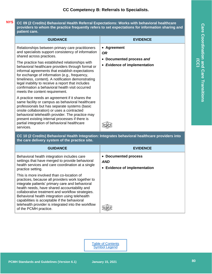#### <span id="page-52-0"></span>**CC 09 (2 Credits) Behavioral Health Referral Expectations: Works with behavioral healthcare providers to whom the practice frequently refers to set expectations for information sharing and patient care. NYS**

| <b>GUIDANCE</b>                                                                                                                                                                                                                                                                                                                                                                                                                                                                                                                                | <b>EVIDENCE</b>                                                                    |
|------------------------------------------------------------------------------------------------------------------------------------------------------------------------------------------------------------------------------------------------------------------------------------------------------------------------------------------------------------------------------------------------------------------------------------------------------------------------------------------------------------------------------------------------|------------------------------------------------------------------------------------|
| Relationships between primary care practitioners<br>and specialists support consistency of information<br>shared across practices.<br>The practice has established relationships with<br>behavioral healthcare providers through formal or<br>informal agreements that establish expectations<br>for exchange of information (e.g., frequency,<br>timeliness, content). A notification demonstrating<br>legal inability to receive a report that includes<br>confirmation a behavioral health visit occurred<br>meets the content requirement. | • Agreement<br><b>OR</b><br>Documented process and<br>• Evidence of implementation |
| A practice needs an agreement if it shares the<br>same facility or campus as behavioral healthcare<br>professionals but has separate systems (basic<br>onsite collaboration) or uses a contracted<br>behavioral telehealth provider. The practice may<br>present existing internal processes if there is<br>partial integration of behavioral healthcare<br>services.                                                                                                                                                                          |                                                                                    |

<span id="page-52-1"></span>**CC 10 (2 Credits) Behavioral Health Integration: Integrates behavioral healthcare providers into the care delivery system of the practice site.**

| <b>GUIDANCE</b>                                                                                                                                                                                                                                                                                                                                                                                                                         | <b>EVIDENCE</b>                                                    |
|-----------------------------------------------------------------------------------------------------------------------------------------------------------------------------------------------------------------------------------------------------------------------------------------------------------------------------------------------------------------------------------------------------------------------------------------|--------------------------------------------------------------------|
| Behavioral health integration includes care<br>settings that have merged to provide behavioral<br>health services and care coordination at a single<br>practice setting.                                                                                                                                                                                                                                                                | • Documented process<br><b>AND</b><br>• Evidence of implementation |
| This is more involved than co-location of<br>practices, because all providers work together to<br>integrate patients' primary care and behavioral<br>health needs, have shared accountability and<br>collaborative treatment and workflow strategies.<br>Behavioral health integration using telehealth<br>capabilities is acceptable if the behavioral<br>telehealth provider is integrated into the workflow<br>of the PCMH practice. |                                                                    |

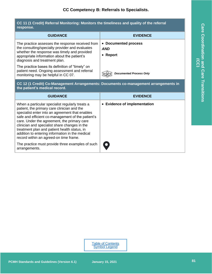<span id="page-53-0"></span>

| CC 11 (1 Credit) Referral Monitoring: Monitors the timeliness and quality of the referral<br>response.                                                                                                                              |                                                           |
|-------------------------------------------------------------------------------------------------------------------------------------------------------------------------------------------------------------------------------------|-----------------------------------------------------------|
| <b>GUIDANCE</b>                                                                                                                                                                                                                     | <b>EVIDENCE</b>                                           |
| The practice assesses the response received from<br>the consulting/specialty provider and evaluates<br>whether the response was timely and provided<br>appropriate information about the patient's<br>diagnosis and treatment plan. | • Documented process<br><b>AND</b><br>Report<br>$\bullet$ |
| The practice bases its definition of "timely" on<br>patient need. Ongoing assessment and referral<br>monitoring may be helpful in CC 07.                                                                                            | <b>Documented Process Only</b>                            |

<span id="page-53-1"></span>**CC 12 (1 Credit) Co-Management Arrangements: Documents co-management arrangements in the patient's medical record.**

<span id="page-53-2"></span>

| <b>GUIDANCE</b>                                                                                                                                                                                                                                                                                                                                                                                                                                     | <b>EVIDENCE</b>              |
|-----------------------------------------------------------------------------------------------------------------------------------------------------------------------------------------------------------------------------------------------------------------------------------------------------------------------------------------------------------------------------------------------------------------------------------------------------|------------------------------|
| When a particular specialist regularly treats a<br>patient, the primary care clinician and the<br>specialist enter into an agreement that enables<br>safe and efficient co-management of the patient's<br>care. Under the agreement, the primary care<br>clinician and specialist share changes in the<br>treatment plan and patient health status, in<br>addition to entering information in the medical<br>record within an agreed-on time frame. | • Evidence of implementation |
| The practice must provide three examples of such<br>arrangements.                                                                                                                                                                                                                                                                                                                                                                                   |                              |

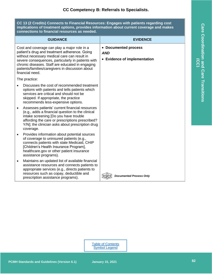**CC 13 (2 Credits) Connects to Financial Resources: Engages with patients regarding cost implications of treatment options, provides information about current coverage and makes connections to financial resources as needed.**

|   | <b>GUIDANCE</b>                                                                                                                                                                                                                                                                                                                | <b>EVIDENCE</b>                                                    |
|---|--------------------------------------------------------------------------------------------------------------------------------------------------------------------------------------------------------------------------------------------------------------------------------------------------------------------------------|--------------------------------------------------------------------|
|   | Cost and coverage can play a major role in a<br>patient's drug and treatment adherence. Going<br>without necessary medical care can result in<br>severe consequences, particularly in patients with<br>chronic diseases. Staff are educated in engaging<br>patients/families/caregivers in discussion about<br>financial need. | • Documented process<br><b>AND</b><br>• Evidence of implementation |
|   | The practice:                                                                                                                                                                                                                                                                                                                  |                                                                    |
|   | Discusses the cost of recommended treatment<br>options with patients and tells patients which<br>services are critical and should not be<br>skipped. If appropriate, the practice<br>recommends less-expensive options.                                                                                                        |                                                                    |
| ٠ | Assesses patients' current financial resources<br>(e.g., adds a financial question to the clinical<br>intake screening [Do you have trouble<br>affording the care or prescriptions prescribed?<br>Y/N]; the clinician asks about prescription drug<br>coverage.                                                                |                                                                    |
| ٠ | Provides information about potential sources<br>of coverage to uninsured patients (e.g.,<br>connects patients with state Medicaid, CHIP<br>[Children's Health Insurance Program],<br>healthcare.gov or other patient insurance<br>assistance programs).                                                                        |                                                                    |
| ٠ | Maintains an updated list of available financial<br>assistance resources and connects patients to<br>appropriate services (e.g., directs patients to<br>resources such as copay, deductible and<br>prescription assistance programs).                                                                                          | <b>Documented Process Only</b>                                     |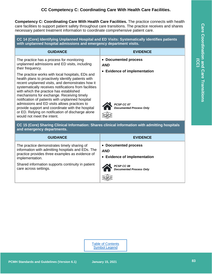## **CC Competency C: Coordinating Care With Health Care Facilities.**

<span id="page-55-0"></span>**Competency C: Coordinating Care With Health Care Facilities.** The practice connects with health care facilities to support patient safety throughout care transitions. The practice receives and shares necessary patient treatment information to coordinate comprehensive patient care.

<span id="page-55-1"></span>**CC 14 (Core) Identifying Unplanned Hospital and ED Visits: Systematically identifies patients with unplanned hospital admissions and emergency department visits.**

| • Documented process<br>The practice has a process for monitoring<br>unplanned admissions and ED visits, including<br><b>AND</b><br>their frequency.<br>• Evidence of implementation<br>The practice works with local hospitals, EDs and                                                                                                                                                                                                                                                     | <b>GUIDANCE</b>                                    | <b>EVIDENCE</b> |
|----------------------------------------------------------------------------------------------------------------------------------------------------------------------------------------------------------------------------------------------------------------------------------------------------------------------------------------------------------------------------------------------------------------------------------------------------------------------------------------------|----------------------------------------------------|-----------------|
| recent unplanned visits, and demonstrates how it<br>systematically receives notifications from facilities<br>with which the practice has established<br>mechanisms for exchange. Receiving timely<br>notification of patients with unplanned hospital<br>admissions and ED visits allows practices to<br>PCSP CC 07<br>provide support and coordinate with the hospital<br><b>Documented Process Only</b><br>or ED. Relying on notification of discharge alone<br>would not meet the intent. | health plans to proactively identify patients with |                 |

<span id="page-55-2"></span>**CC 15 (Core) Sharing Clinical Information: Shares clinical information with admitting hospitals and emergency departments.**

| <b>GUIDANCE</b>                                                                                                                                                        | <b>EVIDENCE</b>                                                    |
|------------------------------------------------------------------------------------------------------------------------------------------------------------------------|--------------------------------------------------------------------|
| The practice demonstrates timely sharing of<br>information with admitting hospitals and EDs. The<br>practice provides three examples as evidence of<br>implementation. | • Documented process<br><b>AND</b><br>• Evidence of implementation |
| Shared information supports continuity in patient<br>care across settings.                                                                                             | PCSP CC 08<br><b>Documented Process Only</b>                       |

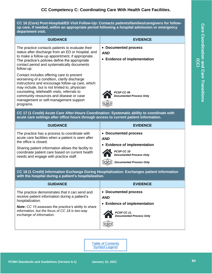<span id="page-56-0"></span>**CC 16 (Core) Post-Hospital/ED Visit Follow-Up: Contacts patients/families/caregivers for followup care, if needed, within an appropriate period following a hospital admission or emergency department visit.**

| <b>GUIDANCE</b>                                                                                                                                                                                                                                                                                                                               | <b>EVIDENCE</b>                                                    |
|-----------------------------------------------------------------------------------------------------------------------------------------------------------------------------------------------------------------------------------------------------------------------------------------------------------------------------------------------|--------------------------------------------------------------------|
| The practice contacts patients to evaluate their<br>status after discharge from an ED or hospital, and<br>to make a follow-up appointment, if appropriate.<br>The practice's policies define the appropriate<br>contact period and systematically documents<br>follow-up.                                                                     | • Documented process<br><b>AND</b><br>• Evidence of implementation |
| Contact includes offering care to prevent<br>worsening of a condition, clarify discharge<br>instructions and encourage follow-up care, which<br>may include, but is not limited to, physician<br>counseling, telehealth visits, referrals to<br>community resources and disease or case<br>management or self-management support<br>programs. | PCSP CC 09<br><b>Documented Process Only</b>                       |

<span id="page-56-1"></span>**CC 17 (1 Credit) Acute Care After-Hours Coordination: Systematic ability to coordinate with acute care settings after office hours through access to current patient information.**

| <b>GUIDANCE</b>                                                                                                                                | <b>EVIDENCE</b>                                                    |
|------------------------------------------------------------------------------------------------------------------------------------------------|--------------------------------------------------------------------|
| The practice has a process to coordinate with<br>acute care facilities when a patient is seen after<br>the office is closed.                   | • Documented process<br><b>AND</b><br>• Evidence of implementation |
| Sharing patient information allows the facility to<br>coordinate patient care based on current health<br>needs and engage with practice staff. | PCSP CC 10<br>Documented Process Only                              |
|                                                                                                                                                | <b>Documented Process Only</b>                                     |

**CC 18 (1 Credit) Information Exchange During Hospitalization: Exchanges patient information with the hospital during a patient's hospitalization.**

| <b>GUIDANCE</b>                                                                                                                                                                                                                                                   | <b>EVIDENCE</b>                                                                                                    |
|-------------------------------------------------------------------------------------------------------------------------------------------------------------------------------------------------------------------------------------------------------------------|--------------------------------------------------------------------------------------------------------------------|
| The practice demonstrates that it can send and<br>receive patient information during a patient's<br>hospitalization.<br><b>Note:</b> CC 15 assesses the practice's ability to share<br>information, but the focus of CC 18 is two-way<br>exchange of information. | • Documented process<br><b>AND</b><br>• Evidence of implementation<br>PCSP CC 11<br><b>Documented Process Only</b> |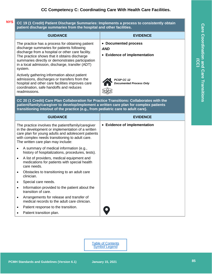#### <span id="page-57-0"></span>**CC 19 (1 Credit) Patient Discharge Summaries: Implements a process to consistently obtain patient discharge summaries from the hospital and other facilities. NYS**

<span id="page-57-1"></span>

|                                                                                                                                                                                                                                                                         | <b>GUIDANCE</b>                                                                                                                                                                                                                                                                                                       | <b>EVIDENCE</b>                                                    |
|-------------------------------------------------------------------------------------------------------------------------------------------------------------------------------------------------------------------------------------------------------------------------|-----------------------------------------------------------------------------------------------------------------------------------------------------------------------------------------------------------------------------------------------------------------------------------------------------------------------|--------------------------------------------------------------------|
|                                                                                                                                                                                                                                                                         | The practice has a process for obtaining patient<br>discharge summaries for patients following<br>discharge from a hospital or other care facility.<br>The practice shows that it obtains discharge<br>summaries directly or demonstrates participation<br>in a local admission, discharge, transfer (ADT)<br>system. | • Documented process<br><b>AND</b><br>• Evidence of implementation |
|                                                                                                                                                                                                                                                                         | Actively gathering information about patient<br>admissions, discharges or transfers from the<br>hospital and other care facilities improves care<br>coordination, safe handoffs and reduces<br>readmissions.                                                                                                          | PCSP CC 12<br><b>Documented Process Only</b>                       |
| CC 20 (1 Credit) Care Plan Collaboration for Practice Transitions: Collaborates with the<br>patient/family/caregiver to develop/implement a written care plan for complex patients<br>transitioning into/out of the practice (e.g., from pediatric care to adult care). |                                                                                                                                                                                                                                                                                                                       |                                                                    |
|                                                                                                                                                                                                                                                                         | <b>GUIDANCE</b>                                                                                                                                                                                                                                                                                                       | <b>EVIDENCE</b>                                                    |
|                                                                                                                                                                                                                                                                         | The practice involves the patient/family/caregiver<br>in the development or implementation of a written<br>care plan for young adults and adolescent patients<br>with complex needs transitioning to adult care.<br>The written care plan may include:                                                                | • Evidence of implementation                                       |
| $\bullet$                                                                                                                                                                                                                                                               | A summary of medical information (e.g.,<br>history of hospitalizations, procedures, tests).                                                                                                                                                                                                                           |                                                                    |
| ٠                                                                                                                                                                                                                                                                       | A list of providers, medical equipment and<br>medications for patients with special health<br>care needs.                                                                                                                                                                                                             |                                                                    |
| ٠                                                                                                                                                                                                                                                                       | Obstacles to transitioning to an adult care<br>clinician.                                                                                                                                                                                                                                                             |                                                                    |
|                                                                                                                                                                                                                                                                         | Special care needs.                                                                                                                                                                                                                                                                                                   |                                                                    |
|                                                                                                                                                                                                                                                                         | Information provided to the patient about the<br>transition of care.                                                                                                                                                                                                                                                  |                                                                    |
| ٠                                                                                                                                                                                                                                                                       | Arrangements for release and transfer of<br>medical records to the adult care clinician.                                                                                                                                                                                                                              |                                                                    |
|                                                                                                                                                                                                                                                                         | Patient response to the transition.                                                                                                                                                                                                                                                                                   | $\bullet$                                                          |
|                                                                                                                                                                                                                                                                         | Patient transition plan.                                                                                                                                                                                                                                                                                              |                                                                    |

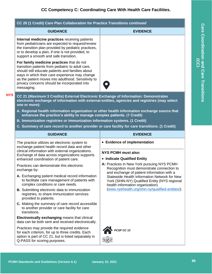## **CC Competency C: Coordinating Care With Health Care Facilities.**

<span id="page-58-0"></span>

| CC 20 (1 Credit) Care Plan Collaboration for Practice Transitions continued                                                                                                                                                                                                                                               |                                                                                                                                                                                 |
|---------------------------------------------------------------------------------------------------------------------------------------------------------------------------------------------------------------------------------------------------------------------------------------------------------------------------|---------------------------------------------------------------------------------------------------------------------------------------------------------------------------------|
| <b>GUIDANCE</b>                                                                                                                                                                                                                                                                                                           | <b>EVIDENCE</b>                                                                                                                                                                 |
| Internal medicine practices receiving patients<br>from pediatricians are expected to request/review<br>the transition plan provided by pediatric practices,<br>or to develop a plan, if one is not provided, to<br>support a smooth and safe transition.                                                                  |                                                                                                                                                                                 |
| For family medicine practices that do not<br>transition patients from pediatric to adult care,<br>should still educate patients and families about<br>ways in which their care experience may change<br>as the patient moves into adulthood. Sensitivity to<br>privacy concerns should be incorporated into<br>messaging. |                                                                                                                                                                                 |
| CC 21 (Maximum 3 Credits) External Electronic Exchange of Information: Demonstrates<br>electronic exchange of information with external entities, agencies and registries (may select<br>one or more):                                                                                                                    |                                                                                                                                                                                 |
| A. Regional health information organization or other health information exchange source that<br>enhances the practice's ability to manage complex patients. (1 Credit)                                                                                                                                                    |                                                                                                                                                                                 |
| B. Immunization registries or immunization information systems. (1 Credit)                                                                                                                                                                                                                                                |                                                                                                                                                                                 |
| C. Summary of care record to another provider or care facility for care transitions. (1 Credit)                                                                                                                                                                                                                           |                                                                                                                                                                                 |
|                                                                                                                                                                                                                                                                                                                           |                                                                                                                                                                                 |
| <b>GUIDANCE</b>                                                                                                                                                                                                                                                                                                           | <b>EVIDENCE</b>                                                                                                                                                                 |
| The practice utilizes an electronic system to<br>exchange patient health record data and other<br>clinical information with external organizations.<br>Exchange of data across organizations supports                                                                                                                     | • Evidence of implementation<br><b>NYS PCMH must also:</b>                                                                                                                      |
| enhanced coordination of patient care.<br>Practices can demonstrate this electronic                                                                                                                                                                                                                                       | • Indicate Qualified Entity<br>A: Practices in New York pursuing NYS PCMH<br>Recognition must demonstrate connection to                                                         |
| exchange by:<br>A. Exchanging patient medical record information<br>to facilitate care management of patients with<br>complex conditions or care needs.                                                                                                                                                                   | and exchange of patient information with a<br>Statewide Health Information Network for New<br>York (SHIN-NY) Qualified Entity (NYS regional<br>health information organization) |
| B. Submitting electronic data to immunization<br>registries, to share immunization services<br>provided to patients.                                                                                                                                                                                                      | (www.nyehealth.org/shin-ny/qualified-entities/).                                                                                                                                |
| C. Making the summary of care record accessible<br>to another provider or care facility for care<br>transitions.                                                                                                                                                                                                          |                                                                                                                                                                                 |
| Electronically exchanging means that clinical<br>data can be both sent and received electronically.                                                                                                                                                                                                                       |                                                                                                                                                                                 |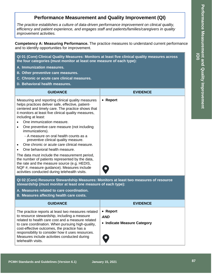## **Performance Measurement and Quality Improvement (QI)**

<span id="page-59-0"></span>The practice establishes a culture of data-driven performance improvement on clinical quality, *efficiency and patient experience, and engages staff and patients/families/caregivers in quality improvement activities.*

<span id="page-59-1"></span>**Competency A: Measuring Performance.** The practice measures to understand current performance and to identify opportunities for improvement.

<span id="page-59-2"></span>**QI 01 (Core) Clinical Quality Measures: Monitors at least five clinical quality measures across the four categories (must monitor at least one measure of each type):**

- **A. Immunization measures.**
- **B. Other preventive care measures.**
- **C. Chronic or acute care clinical measures.**
- **D. Behavioral health measures.**

| <b>GUIDANCE</b>                                                                                                                                                                                                                                  | <b>EVIDENCE</b> |
|--------------------------------------------------------------------------------------------------------------------------------------------------------------------------------------------------------------------------------------------------|-----------------|
| Measuring and reporting clinical quality measures<br>helps practices deliver safe, effective, patient-<br>centered and timely care. The practice shows that<br>it monitors at least five clinical quality measures,<br>including at least:       | • Report        |
| One immunization measure.                                                                                                                                                                                                                        |                 |
| One preventive care measure (not including<br>immunizations).                                                                                                                                                                                    |                 |
| - A measure on oral health counts as a<br>preventive clinical quality measure.                                                                                                                                                                   |                 |
| One chronic or acute care clinical measure.                                                                                                                                                                                                      |                 |
| One behavioral health measure.                                                                                                                                                                                                                   |                 |
| The data must include the measurement period,<br>the number of patients represented by the data,<br>the rate and the measure source (e.g. HEDIS,<br>NQF #, measure guidance). Measures include<br>activities conducted during telehealth visits. |                 |

<span id="page-59-3"></span>**QI 02 (Core) Resource Stewardship Measures: Monitors at least two measures of resource stewardship (must monitor at least one measure of each type):**

- **A. Measures related to care coordination.**
- **B. Measures affecting health care costs.**

| <b>GUIDANCE</b>                                                                                                                                                                                                                                                                                                                                                                        | <b>EVIDENCE</b>                                                    |
|----------------------------------------------------------------------------------------------------------------------------------------------------------------------------------------------------------------------------------------------------------------------------------------------------------------------------------------------------------------------------------------|--------------------------------------------------------------------|
| The practice reports at least two measures related<br>to resource stewardship, including a measure<br>related to health care cost and a measure related<br>to care coordination. When pursuing high-quality,<br>cost-effective outcomes, the practice has a<br>responsibility to consider how it uses resources.<br>Measures include activities conducted during<br>telehealth visits. | • Report<br><b>AND</b><br>• Indicate Measure Category<br>$\bullet$ |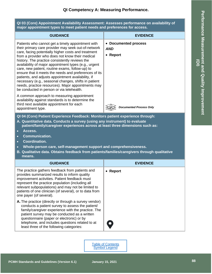<span id="page-60-0"></span>**QI 03 (Core) Appointment Availability Assessment: Assesses performance on availability of major appointment types to meet patient needs and preferences for access.**

<span id="page-60-1"></span>

| <b>GUIDANCE</b>                                                                                                                                                                                                                                                                                                                                                                                                                                                                                                                                                                                                                                            | <b>EVIDENCE</b>                                |  |
|------------------------------------------------------------------------------------------------------------------------------------------------------------------------------------------------------------------------------------------------------------------------------------------------------------------------------------------------------------------------------------------------------------------------------------------------------------------------------------------------------------------------------------------------------------------------------------------------------------------------------------------------------------|------------------------------------------------|--|
| Patients who cannot get a timely appointment with<br>their primary care provider may seek out-of-network<br>care, facing potentially higher costs and treatment<br>from a provider who does not know their medical<br>history. The practice consistently reviews the<br>availability of major appointment types (e.g., urgent<br>care, new patient, routine exams, follow-up) to<br>ensure that it meets the needs and preferences of its<br>patients, and adjusts appointment availability, if<br>necessary (e.g., seasonal changes, shifts in patient<br>needs, practice resources). Major appointments may<br>be conducted in person or via telehealth. | • Documented process<br><b>AND</b><br>• Report |  |
| A common approach to measuring appointment<br>availability against standards is to determine the<br>third next available appointment for each<br>appointment type.                                                                                                                                                                                                                                                                                                                                                                                                                                                                                         | <b>Documented Process Only</b>                 |  |
| QI 04 (Core) Patient Experience Feedback: Monitors patient experience through:<br>A. Quantitative data. Conducts a survey (using any instrument) to evaluate<br>patient/family/caregiver experiences across at least three dimensions such as:<br>Access.<br>$\bullet$<br><b>Communication.</b><br>$\bullet$<br><b>Coordination.</b><br>Whole-person care, self-management support and comprehensiveness.<br>$\bullet$<br>B. Qualitative data. Obtains feedback from patients/families/caregivers through qualitative<br>means.                                                                                                                            |                                                |  |
| <b>GUIDANCE</b>                                                                                                                                                                                                                                                                                                                                                                                                                                                                                                                                                                                                                                            | <b>EVIDENCE</b>                                |  |
| The practice gathers feedback from patients and<br>provides summarized results to inform quality<br>improvement activities. Patient feedback must<br>represent the practice population (including all<br>relevant subpopulations) and may not be limited to<br>patients of one clinician (of several), or to data from<br>one payer (of several).<br>A. The practice (directly or through a survey vendor)                                                                                                                                                                                                                                                 | • Report                                       |  |
| conducts a patient survey to assess the patient/<br>family/caregiver experience with the practice. The<br>patient survey may be conducted as a written<br>questionnaire (paper or electronic) or by<br>telephone, and includes questions related to at<br>least three of the following categories:                                                                                                                                                                                                                                                                                                                                                         |                                                |  |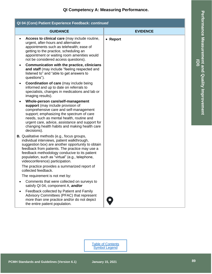**QI Competency A: Measuring Performance.**

| QI 04 (Core) Patient Experience Feedback: continued                                                                                                                                                                                                                                                                                             |                 |  |
|-------------------------------------------------------------------------------------------------------------------------------------------------------------------------------------------------------------------------------------------------------------------------------------------------------------------------------------------------|-----------------|--|
| <b>GUIDANCE</b>                                                                                                                                                                                                                                                                                                                                 | <b>EVIDENCE</b> |  |
| Access to clinical care (may include routine,<br>$\bullet$<br>urgent, after-hours and alternative<br>appointments such as telehealth; ease of<br>getting to the practice, scheduling an<br>appointment or waiting room amenities would<br>not be considered access questions).                                                                  | • Report        |  |
| Communication with the practice, clinicians<br>$\bullet$<br>and staff (may include "feeling respected and<br>listened to" and "able to get answers to<br>questions").                                                                                                                                                                           |                 |  |
| <b>Coordination of care</b> (may include being<br>٠<br>informed and up to date on referrals to<br>specialists, changes in medications and lab or<br>imaging results).                                                                                                                                                                           |                 |  |
| Whole-person care/self-management<br>support (may include provision of<br>comprehensive care and self-management<br>support; emphasizing the spectrum of care<br>needs, such as mental health, routine and<br>urgent care, advice, assistance and support for<br>changing health habits and making health care<br>decisions).                   |                 |  |
| <b>B.</b> Qualitative methods (e.g., focus groups,<br>individual interviews, patient walkthrough,<br>suggestion box) are another opportunity to obtain<br>feedback from patients. The practice may use a<br>feedback methodology conducive to its patient<br>population, such as "virtual" (e.g., telephone,<br>videoconference) participation. |                 |  |
| The practice provides a summarized report of<br>collected feedback.                                                                                                                                                                                                                                                                             |                 |  |
| The requirement is not met by:                                                                                                                                                                                                                                                                                                                  |                 |  |
| Comments that were collected on surveys to<br>satisfy QI 04, component A, and/or                                                                                                                                                                                                                                                                |                 |  |
| Feedback collected by Patient and Family<br>Advisory Committees (PFAC) that represent<br>more than one practice and/or do not depict<br>the entire patient population.                                                                                                                                                                          |                 |  |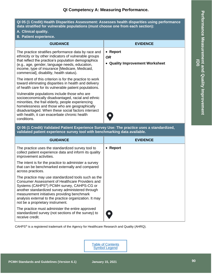## **QI Competency A: Measuring Performance.**

<span id="page-62-0"></span>**QI 05 (1 Credit) Health Disparities Assessment: Assesses health disparities using performance data stratified for vulnerable populations (must choose one from each section):**

- **A. Clinical quality.**
- **B. Patient experience.**

| <b>GUIDANCE</b>                                                                                                                                                                                                                                                                                                                 | <b>EVIDENCE</b>                                          |
|---------------------------------------------------------------------------------------------------------------------------------------------------------------------------------------------------------------------------------------------------------------------------------------------------------------------------------|----------------------------------------------------------|
| The practice stratifies performance data by race and<br>ethnicity or by other indicators of vulnerable groups<br>that reflect the practice's population demographics<br>(e.g., age, gender, language needs, education,<br>income, type of insurance [Medicare, Medicaid,<br>commercial], disability, health status).            | • Report<br><b>OR</b><br>• Quality Improvement Worksheet |
| The intent of this criterion is for the practice to work<br>toward eliminating disparities in health and delivery<br>of health care for its vulnerable patient populations.                                                                                                                                                     |                                                          |
| Vulnerable populations include those who are<br>socioeconomically disadvantaged, racial and ethnic<br>minorities, the frail elderly, people experiencing<br>homelessness and those who are geographically<br>disadvantaged. When these social factors intersect<br>with health, it can exacerbate chronic health<br>conditions. |                                                          |

<span id="page-62-1"></span>**QI 06 (1 Credit) Validated Patient Experience Survey Use: The practice uses a standardized, validated patient experience survey tool with benchmarking data available.**

| <b>GUIDANCE</b>                                                                                                                                                                                                                                                                                                                                                   | <b>EVIDENCE</b> |
|-------------------------------------------------------------------------------------------------------------------------------------------------------------------------------------------------------------------------------------------------------------------------------------------------------------------------------------------------------------------|-----------------|
| The practice uses the standardized survey tool to<br>collect patient experience data and inform its quality<br>improvement activities.                                                                                                                                                                                                                            | • Report        |
| The intent is for the practice to administer a survey<br>that can be benchmarked externally and compared<br>across practices.                                                                                                                                                                                                                                     |                 |
| The practice may use standardized tools such as the<br>Consumer Assessment of Healthcare Providers and<br>Systems (CAHPS <sup>®</sup> ) PCMH survey, CAHPS-CG or<br>another standardized survey administered through<br>measurement initiatives providing benchmark<br>analysis external to the practice organization. It may<br>not be a proprietary instrument. |                 |
| The practice must administer the entire approved<br>standardized survey (not sections of the survey) to<br>receive credit.                                                                                                                                                                                                                                        |                 |

CAHPS® is a registered trademark of the Agency for Healthcare Research and Quality (AHRQ).

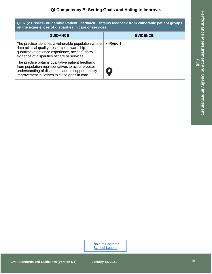O

<span id="page-63-0"></span>

| QI 07 (2 Credits) Vulnerable Patient Feedback: Obtains feedback from vulnerable patient groups<br>on the experiences of disparities in care or services.                                                 |                 |
|----------------------------------------------------------------------------------------------------------------------------------------------------------------------------------------------------------|-----------------|
| <b>GUIDANCE</b>                                                                                                                                                                                          | <b>EVIDENCE</b> |
| The practice identifies a vulnerable population where<br>data (clinical quality, resource stewardship,<br>quantitative patience experience, access) show<br>evidence of disparities of care or services. | • Report        |
| The practice obtains qualitative patient feedback<br>from population representatives to acquire better                                                                                                   |                 |

<span id="page-63-1"></span>understanding of disparities and to support quality improvement initiatives to close gaps in care.

Performance Measurement and Quality Improvement **Performance Measurement and Quality Improvement (QI)**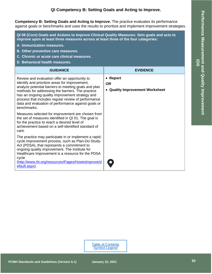## **QI Competency B: Setting Goals and Acting to Improve .**

**Competency B: Setting Goals and Acting to Improve .** The practice evaluates its performance against goals or benchmarks and uses the results to prioritize and implement improvement strategies.

<span id="page-64-0"></span>**QI 08 (Core) Goals and Actions to Improve Clinical Quality Measures: Sets goals and acts to improve upon at least three measures across at least three of the four categories:**

- **A. Immunization measures.**
- **B. Other preventive care measures.**
- **C. Chronic or acute care clinical measures.**
- **D. Behavioral health measures.**

| <b>GUIDANCE</b>                                                                                                                                                                                                                                                                                                                                                                              | <b>EVIDENCE</b>                                          |
|----------------------------------------------------------------------------------------------------------------------------------------------------------------------------------------------------------------------------------------------------------------------------------------------------------------------------------------------------------------------------------------------|----------------------------------------------------------|
| Review and evaluation offer an opportunity to<br>identify and prioritize areas for improvement,<br>analyze potential barriers to meeting goals and plan<br>methods for addressing the barriers. The practice<br>has an ongoing quality improvement strategy and<br>process that includes regular review of performance<br>data and evaluation of performance against goals or<br>benchmarks. | • Report<br><b>OR</b><br>• Quality Improvement Worksheet |
| Measures selected for improvement are chosen from<br>the set of measures identified in QI 01. The goal is<br>for the practice to reach a desired level of<br>achievement based on a self-identified standard of<br>care.                                                                                                                                                                     |                                                          |
| The practice may participate in or implement a rapid-<br>cycle improvement process, such as Plan-Do-Study-<br>Act (PDSA), that represents a commitment to<br>ongoing quality improvement. The Institute for<br>Healthcare Improvement is a resource for the PDSA<br>cycle<br>(http://www.ihi.org/resources/Pages/HowtoImprove/d<br>efault.aspx).                                             |                                                          |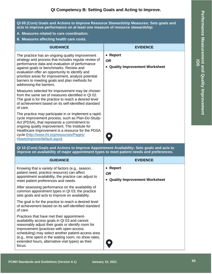<span id="page-65-0"></span>**QI 09 (Core) Goals and Actions to Improve Resource Stewardship Measures: Sets goals and acts to improve performance on at least one measure of resource stewardship:**

- **A. Measures related to care coordination.**
- **B. Measures affecting health care costs.**

| <b>GUIDANCE</b>                                                                                                                                                                                                                                                                                                                                                                              | <b>EVIDENCE</b>                                               |  |
|----------------------------------------------------------------------------------------------------------------------------------------------------------------------------------------------------------------------------------------------------------------------------------------------------------------------------------------------------------------------------------------------|---------------------------------------------------------------|--|
| The practice has an ongoing quality improvement<br>strategy and process that includes regular review of<br>performance data and evaluation of performance<br>against goals or benchmarks. Review and<br>evaluation offer an opportunity to identify and<br>prioritize areas for improvement, analyze potential<br>barriers to meeting goals and plan methods for<br>addressing the barriers. | • Report<br><b>OR</b><br><b>Quality Improvement Worksheet</b> |  |
| Measures selected for improvement may be chosen<br>from the same set of measures identified in QI 02.<br>The goal is for the practice to reach a desired level<br>of achievement based on its self-identified standard<br>of care.                                                                                                                                                           |                                                               |  |
| The practice may participate in or implement a rapid-<br>cycle improvement process, such as Plan-Do-Study-<br>Act (PDSA), that represents a commitment to<br>ongoing quality improvement. The Institute for<br>Healthcare Improvement is a resource for the PDSA<br>cycle (http://www.ihi.org/resources/Pages/<br>HowtoImprove/default.aspx).                                                | $\bullet$                                                     |  |
| QI 10 (Core) Goals and Actions to Improve Appointment Availability: Sets goals and acts to<br>improve on availability of major appointment types to meet patient needs and preferences.                                                                                                                                                                                                      |                                                               |  |
| <b>GUIDANCE</b>                                                                                                                                                                                                                                                                                                                                                                              | <b>EVIDENCE</b>                                               |  |
|                                                                                                                                                                                                                                                                                                                                                                                              | m.                                                            |  |

<span id="page-65-1"></span>Knowing that a variety of factors (e.g., season, patient need, practice resource) can affect appointment availability, the practice can adjust to meet patient preferences and needs. After assessing performance on the availability of common appointment types in QI 03, the practice sets goals and acts to improve on availability. The goal is for the practice to reach a desired level of achievement based on its self -identified standard of care. Practices that have met their appointment availability access goals in QI 03 and cannot reasonably adjust their goals or identify room for improvement (practices with open -access scheduling) may select another patient -access area (e.g., time spent in the waiting room, no show rates, extended hours, alternative visit types) as their focus. • **Report** *OR*• **Quality Improvement Worksheet**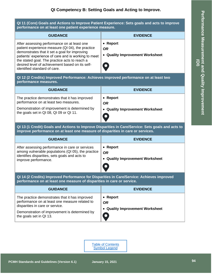## **QI Competency B: Setting Goals and Acting to Improve .**

<span id="page-66-3"></span><span id="page-66-2"></span><span id="page-66-1"></span><span id="page-66-0"></span>

| QI 11 (Core) Goals and Actions to Improve Patient Experience: Sets goals and acts to improve<br>performance on at least one patient experience measure.                                                                                                                                                                                     |                                                          |  |
|---------------------------------------------------------------------------------------------------------------------------------------------------------------------------------------------------------------------------------------------------------------------------------------------------------------------------------------------|----------------------------------------------------------|--|
| <b>GUIDANCE</b>                                                                                                                                                                                                                                                                                                                             | <b>EVIDENCE</b>                                          |  |
| After assessing performance on at least one<br>patient experience measure (QI 04), the practice<br>demonstrates that it set a goal for improving<br>patients' experience of care and is working to meet<br>the stated goal. The practice acts to reach a<br>desired level of achievement based on its self-<br>identified standard of care. | • Report<br><b>OR</b><br>• Quality Improvement Worksheet |  |
| QI 12 (2 Credits) Improved Performance: Achieves improved performance on at least two<br>performance measures.                                                                                                                                                                                                                              |                                                          |  |
| <b>GUIDANCE</b>                                                                                                                                                                                                                                                                                                                             | <b>EVIDENCE</b>                                          |  |
| The practice demonstrates that it has improved<br>performance on at least two measures.<br>Demonstration of improvement is determined by<br>the goals set in QI 08, QI 09 or QI 11.                                                                                                                                                         | • Report<br><b>OR</b><br>• Quality Improvement Worksheet |  |
| QI 13 (1 Credit) Goals and Actions to Improve Disparities in Care/Service: Sets goals and acts to<br>improve performance on at least one measure of disparities in care or services.                                                                                                                                                        |                                                          |  |
| <b>GUIDANCE</b>                                                                                                                                                                                                                                                                                                                             | <b>EVIDENCE</b>                                          |  |
| After assessing performance in care or services<br>among vulnerable populations (QI 05), the practice<br>identifies disparities, sets goals and acts to<br>improve performance.                                                                                                                                                             | • Report<br><b>OR</b><br>• Quality Improvement Worksheet |  |
|                                                                                                                                                                                                                                                                                                                                             |                                                          |  |
| QI 14 (2 Credits) Improved Performance for Disparities in Care/Service: Achieves improved<br>performance on at least one measure of disparities in care or service.                                                                                                                                                                         |                                                          |  |
| <b>GUIDANCE</b>                                                                                                                                                                                                                                                                                                                             | <b>EVIDENCE</b>                                          |  |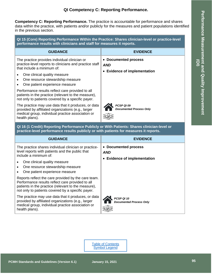## **QI Competency C: Reporting Performance.**

<span id="page-67-0"></span>**Competency C: Reporting Performance.** The practice is accountable for performance and shares data within the practice, with patients and/or publicly for the measures and patient populations identified in the previous section.

<span id="page-67-1"></span>**QI 15 (Core) Reporting Performance Within the Practice: Shares clinician -level or practice -level performance results with clinicians and staff for measures it reports.**

| <b>GUIDANCE</b>                                                                                                                                                                  | <b>EVIDENCE</b>                                                    |
|----------------------------------------------------------------------------------------------------------------------------------------------------------------------------------|--------------------------------------------------------------------|
| The practice provides individual clinician or<br>practice-level reports to clinicians and practice staff<br>that include a minimum of:                                           | • Documented process<br><b>AND</b><br>• Evidence of implementation |
| One clinical quality measure<br>One resource stewardship measure<br>$\bullet$<br>One patient experience measure                                                                  |                                                                    |
| Performance results reflect care provided to all<br>patients in the practice (relevant to the measure),<br>not only to patients covered by a specific payer.                     |                                                                    |
| The practice may use data that it produces, or data<br>provided by affiliated organizations (e.g., larger<br>medical group, individual practice association or<br>health plans). | PCSP QI 09<br><b>Documented Process Only</b>                       |

<span id="page-67-2"></span>**QI 16 (1 Credit) Reporting Performance Publicly or With Patients: Shares clinician -level or practice -level performance results publicly or with patients for measures it report s .**

| <b>GUIDANCE</b>                                                                                                                                                                                                     | <b>EVIDENCE</b>                                                         |
|---------------------------------------------------------------------------------------------------------------------------------------------------------------------------------------------------------------------|-------------------------------------------------------------------------|
| The practice shares individual clinician or practice-<br>level reports with patients and the public that<br>include a minimum of:                                                                                   | • Documented process<br><b>AND</b><br><b>Evidence of implementation</b> |
| One clinical quality measure<br>One resource stewardship measure<br>One patient experience measure                                                                                                                  |                                                                         |
| Reports reflect the care provided by the care team.<br>Performance results reflect care provided to all<br>patients in the practice (relevant to the measure),<br>not only to patients covered by a specific payer. |                                                                         |
| The practice may use data that it produces, or data<br>provided by affiliated organizations (e.g., larger<br>medical group, individual practice association or<br>health plans).                                    | PCSP QI 10<br><b>Documented Process Only</b>                            |

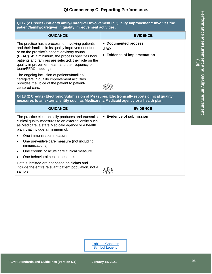## **QI Competency C: Reporting Performance.**

<span id="page-68-0"></span>

| QI 17 (2 Credits) Patient/Family/Caregiver Involvement in Quality Improvement: Involves the<br>patient/family/caregiver in quality improvement activities.                                                                                                                                                                                      |                                                                    |
|-------------------------------------------------------------------------------------------------------------------------------------------------------------------------------------------------------------------------------------------------------------------------------------------------------------------------------------------------|--------------------------------------------------------------------|
| <b>GUIDANCE</b>                                                                                                                                                                                                                                                                                                                                 | <b>EVIDENCE</b>                                                    |
| The practice has a process for involving patients<br>and their families in its quality improvement efforts<br>or on the practice's patient advisory council<br>(PFAC). At a minimum, the process specifies how<br>patients and families are selected, their role on the<br>quality improvement team and the frequency of<br>team/PFAC meetings. | • Documented process<br><b>AND</b><br>• Evidence of implementation |
| The ongoing inclusion of patients/families/<br>caregivers in quality improvement activities<br>provides the voice of the patient to patient-<br>centered care.                                                                                                                                                                                  |                                                                    |
| 0.148 (2 Crodite) Electronic Submission of Mossurge: Electronically reports clinical quality                                                                                                                                                                                                                                                    |                                                                    |

<span id="page-68-1"></span>**QI 18 (2 Credits) Electronic Submission of Measures: Electronically reports clinical quality measures to an external entity such as Medicare, a Medicaid agency or a health plan.**

| <b>GUIDANCE</b>                                                                                                                                                                                    | <b>EVIDENCE</b>          |
|----------------------------------------------------------------------------------------------------------------------------------------------------------------------------------------------------|--------------------------|
| The practice electronically produces and transmits<br>clinical quality measures to an external entity such<br>as Medicare, a state Medicaid agency or a health<br>plan. that include a minimum of: | • Evidence of submission |
| One immunization measure.                                                                                                                                                                          |                          |
| One preventive care measure (not including<br>immunizations).                                                                                                                                      |                          |
| One chronic or acute care clinical measure.                                                                                                                                                        |                          |
| One behavioral health measure.                                                                                                                                                                     |                          |
| Data submitted are not based on claims and<br>include the entire relevant patient population, not a<br>sample.                                                                                     |                          |